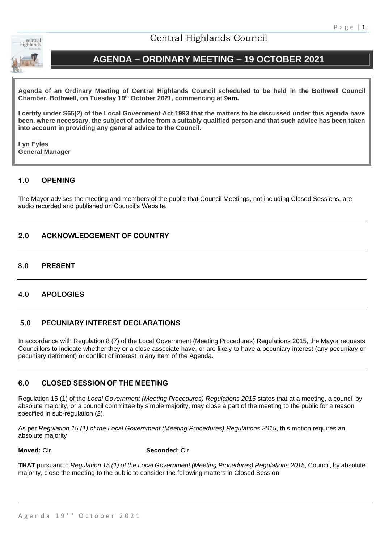

# Central Highlands Council

# **AGENDA – ORDINARY MEETING – 19 OCTOBER 2021**

**Agenda of an Ordinary Meeting of Central Highlands Council scheduled to be held in the Bothwell Council Chamber, Bothwell, on Tuesday 19th October 2021, commencing at 9am.**

**I certify under S65(2) of the Local Government Act 1993 that the matters to be discussed under this agenda have been, where necessary, the subject of advice from a suitably qualified person and that such advice has been taken into account in providing any general advice to the Council.** 

**Lyn Eyles General Manager**

# **1.0 OPENING**

The Mayor advises the meeting and members of the public that Council Meetings, not including Closed Sessions, are audio recorded and published on Council's Website.

# **2.0 ACKNOWLEDGEMENT OF COUNTRY**

# **3.0 PRESENT**

# **4.0 APOLOGIES**

# **5.0 PECUNIARY INTEREST DECLARATIONS**

In accordance with Regulation 8 (7) of the Local Government (Meeting Procedures) Regulations 2015, the Mayor requests Councillors to indicate whether they or a close associate have, or are likely to have a pecuniary interest (any pecuniary or pecuniary detriment) or conflict of interest in any Item of the Agenda.

# **6.0 CLOSED SESSION OF THE MEETING**

Regulation 15 (1) of the *Local Government (Meeting Procedures) Regulations 2015* states that at a meeting, a council by absolute majority, or a council committee by simple majority, may close a part of the meeting to the public for a reason specified in sub-regulation (2).

As per *Regulation 15 (1) of the Local Government (Meeting Procedures) Regulations 2015*, this motion requires an absolute majority

**Moved:** Clr **Seconded**: Clr

**THAT** pursuant to *Regulation 15 (1) of the Local Government (Meeting Procedures) Regulations 2015*, Council, by absolute majority, close the meeting to the public to consider the following matters in Closed Session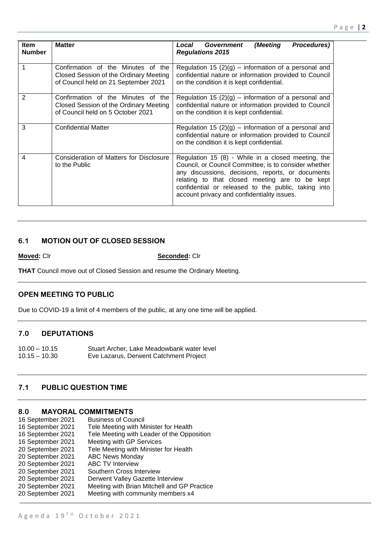| ltem<br><b>Number</b> | <b>Matter</b>                                                                                                        | (Meeting<br>Government<br>Procedures)<br>Local<br><b>Regulations 2015</b>                                                                                                                                                                                                                                                |
|-----------------------|----------------------------------------------------------------------------------------------------------------------|--------------------------------------------------------------------------------------------------------------------------------------------------------------------------------------------------------------------------------------------------------------------------------------------------------------------------|
| 1                     | Confirmation of the Minutes of the<br>Closed Session of the Ordinary Meeting<br>of Council held on 21 September 2021 | Regulation 15 $(2)(g)$ – information of a personal and<br>confidential nature or information provided to Council<br>on the condition it is kept confidential.                                                                                                                                                            |
| $\overline{2}$        | Confirmation of the Minutes of the<br>Closed Session of the Ordinary Meeting<br>of Council held on 5 October 2021    | Regulation 15 $(2)(g)$ – information of a personal and<br>confidential nature or information provided to Council<br>on the condition it is kept confidential.                                                                                                                                                            |
| 3                     | <b>Confidential Matter</b>                                                                                           | Regulation 15 $(2)(g)$ – information of a personal and<br>confidential nature or information provided to Council<br>on the condition it is kept confidential.                                                                                                                                                            |
| 4                     | Consideration of Matters for Disclosure<br>to the Public                                                             | Regulation 15 (8) - While in a closed meeting, the<br>Council, or Council Committee, is to consider whether<br>any discussions, decisions, reports, or documents<br>relating to that closed meeting are to be kept<br>confidential or released to the public, taking into<br>account privacy and confidentiality issues. |

## **6.1 MOTION OUT OF CLOSED SESSION**

**Moved:** Clr **Seconded:** Clr

**THAT** Council move out of Closed Session and resume the Ordinary Meeting.

# **OPEN MEETING TO PUBLIC**

Due to COVID-19 a limit of 4 members of the public, at any one time will be applied.

### **7.0 DEPUTATIONS**

10.00 – 10.15 Stuart Archer, Lake Meadowbank water level 10.15 – 10.30 Eve Lazarus, Derwent Catchment Project

# **7.1 PUBLIC QUESTION TIME**

### **8.0 MAYORAL COMMITMENTS**

| 16 September 2021 | <b>Business of Council</b>                  |
|-------------------|---------------------------------------------|
| 16 September 2021 | Tele Meeting with Minister for Health       |
| 16 September 2021 | Tele Meeting with Leader of the Opposition  |
| 16 September 2021 | Meeting with GP Services                    |
| 20 September 2021 | Tele Meeting with Minister for Health       |
| 20 September 2021 | <b>ABC News Monday</b>                      |
| 20 September 2021 | <b>ABC TV Interview</b>                     |
| 20 September 2021 | Southern Cross Interview                    |
| 20 September 2021 | Derwent Valley Gazette Interview            |
| 20 September 2021 | Meeting with Brian Mitchell and GP Practice |
| 20 September 2021 | Meeting with community members x4           |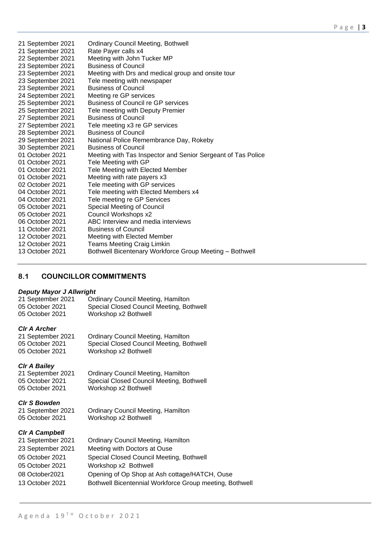| <b>Ordinary Council Meeting, Bothwell</b>                    |
|--------------------------------------------------------------|
| Rate Payer calls x4                                          |
| Meeting with John Tucker MP                                  |
| <b>Business of Council</b>                                   |
| Meeting with Drs and medical group and onsite tour           |
| Tele meeting with newspaper                                  |
| <b>Business of Council</b>                                   |
| Meeting re GP services                                       |
| <b>Business of Council re GP services</b>                    |
| Tele meeting with Deputy Premier                             |
| <b>Business of Council</b>                                   |
| Tele meeting x3 re GP services                               |
| <b>Business of Council</b>                                   |
| National Police Remembrance Day, Rokeby                      |
| <b>Business of Council</b>                                   |
| Meeting with Tas Inspector and Senior Sergeant of Tas Police |
| Tele Meeting with GP                                         |
| Tele Meeting with Elected Member                             |
| Meeting with rate payers x3                                  |
| Tele meeting with GP services                                |
| Tele meeting with Elected Members x4                         |
| Tele meeting re GP Services                                  |
| Special Meeting of Council                                   |
| Council Workshops x2                                         |
| ABC Interview and media interviews                           |
| <b>Business of Council</b>                                   |
| Meeting with Elected Member                                  |
| <b>Teams Meeting Craig Limkin</b>                            |
| Bothwell Bicentenary Workforce Group Meeting - Bothwell      |
|                                                              |

# **8.1 COUNCILLOR COMMITMENTS**

#### *Deputy Mayor J Allwright*

21 September 2021 Ordinary Council Meeting, Hamilton 05 October 2021 Special Closed Council Meeting, Bothwell<br>05 October 2021 Workshop x2 Bothwell Workshop x2 Bothwell

*Clr A Archer* Ordinary Council Meeting, Hamilton 05 October 2021 Special Closed Council Meeting, Bothwell 05 October 2021 Workshop x2 Bothwell

*Clr A Bailey* 21 September 2021 Ordinary Council Meeting, Hamilton<br>05 October 2021 Special Closed Council Meeting, Bor Special Closed Council Meeting, Bothwell 05 October 2021 Workshop x2 Bothwell

#### *Clr S Bowden*

21 September 2021 Ordinary Council Meeting, Hamilton 05 October 2021 Workshop x2 Bothwell

#### *Clr A Campbell*

| 21 September 2021 | <b>Ordinary Council Meeting, Hamilton</b>               |
|-------------------|---------------------------------------------------------|
| 23 September 2021 | Meeting with Doctors at Ouse                            |
| 05 October 2021   | Special Closed Council Meeting, Bothwell                |
| 05 October 2021   | Workshop x2 Bothwell                                    |
| 08 October2021    | Opening of Op Shop at Ash cottage/HATCH, Ouse           |
| 13 October 2021   | Bothwell Bicentennial Workforce Group meeting, Bothwell |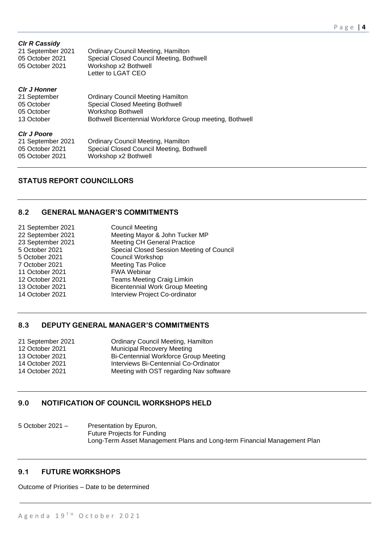| <b>CIr R Cassidy</b><br>21 September 2021<br>05 October 2021<br>05 October 2021 | <b>Ordinary Council Meeting, Hamilton</b><br>Special Closed Council Meeting, Bothwell<br>Workshop x2 Bothwell<br>Letter to LGAT CEO                                       |
|---------------------------------------------------------------------------------|---------------------------------------------------------------------------------------------------------------------------------------------------------------------------|
| <b>CIr J Honner</b><br>21 September<br>05 October<br>05 October<br>13 October   | <b>Ordinary Council Meeting Hamilton</b><br><b>Special Closed Meeting Bothwell</b><br><b>Workshop Bothwell</b><br>Bothwell Bicentennial Workforce Group meeting, Bothwell |
| <b>CIr J Poore</b><br>21 September 2021<br>05 October 2021<br>05 October 2021   | <b>Ordinary Council Meeting, Hamilton</b><br>Special Closed Council Meeting, Bothwell<br>Workshop x2 Bothwell                                                             |

# **STATUS REPORT COUNCILLORS**

# **8.2 GENERAL MANAGER'S COMMITMENTS**

| 21 September 2021 | <b>Council Meeting</b>                    |
|-------------------|-------------------------------------------|
| 22 September 2021 | Meeting Mayor & John Tucker MP            |
| 23 September 2021 | <b>Meeting CH General Practice</b>        |
| 5 October 2021    | Special Closed Session Meeting of Council |
| 5 October 2021    | Council Workshop                          |
| 7 October 2021    | <b>Meeting Tas Police</b>                 |
| 11 October 2021   | <b>FWA Webinar</b>                        |
| 12 October 2021   | <b>Teams Meeting Craig Limkin</b>         |
| 13 October 2021   | <b>Bicentennial Work Group Meeting</b>    |
| 14 October 2021   | Interview Project Co-ordinator            |
|                   |                                           |

# **8.3 DEPUTY GENERAL MANAGER'S COMMITMENTS**

| 21 September 2021 | <b>Ordinary Council Meeting, Hamilton</b> |
|-------------------|-------------------------------------------|
| 12 October 2021   | <b>Municipal Recovery Meeting</b>         |
| 13 October 2021   | Bi-Centennial Workforce Group Meeting     |
| 14 October 2021   | Interviews Bi-Centennial Co-Ordinator     |
| 14 October 2021   | Meeting with OST regarding Nav software   |

# **9.0 NOTIFICATION OF COUNCIL WORKSHOPS HELD**

5 October 2021 – Presentation by Epuron, Future Projects for Funding Long-Term Asset Management Plans and Long-term Financial Management Plan

# **9.1 FUTURE WORKSHOPS**

Outcome of Priorities – Date to be determined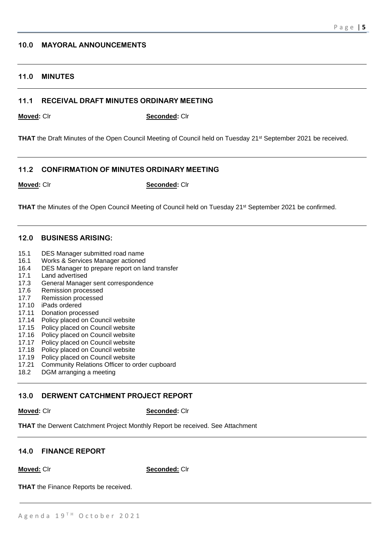## **10.0 MAYORAL ANNOUNCEMENTS**

# **11.0 MINUTES**

#### **11.1 RECEIVAL DRAFT MINUTES ORDINARY MEETING**

**Moved:** Clr **Seconded:** Clr

**THAT** the Draft Minutes of the Open Council Meeting of Council held on Tuesday 21<sup>st</sup> September 2021 be received.

#### **11.2 CONFIRMATION OF MINUTES ORDINARY MEETING**

**Moved:** Clr **Seconded:** Clr

**THAT** the Minutes of the Open Council Meeting of Council held on Tuesday 21<sup>st</sup> September 2021 be confirmed.

### **12.0 BUSINESS ARISING:**

- 15.1 DES Manager submitted road name
- 16.1 Works & Services Manager actioned
- 16.4 DES Manager to prepare report on land transfer
- 17.1 Land advertised
- 17.3 General Manager sent correspondence
- 17.6 Remission processed
- 17.7 Remission processed
- 17.10 iPads ordered
- 17.11 Donation processed
- 17.14 Policy placed on Council website
- 17.15 Policy placed on Council website
- 17.16 Policy placed on Council website
- 17.17 Policy placed on Council website
- 17.18 Policy placed on Council website<br>17.19 Policy placed on Council website
- Policy placed on Council website
- 17.21 Community Relations Officer to order cupboard
- 18.2 DGM arranging a meeting

#### **13.0 DERWENT CATCHMENT PROJECT REPORT**

**Moved:** Clr **Seconded:** Clr

**THAT** the Derwent Catchment Project Monthly Report be received. See Attachment

#### **14.0 FINANCE REPORT**

**Moved:** Clr **Seconded:** Clr

**THAT** the Finance Reports be received.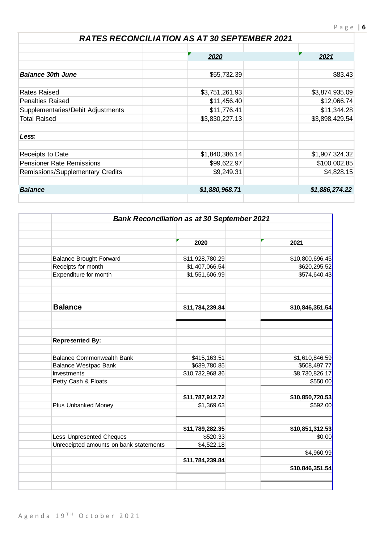# *RATES RECONCILIATION AS AT 30 SEPTEMBER 2021*

|                                   | 2020           | 2021           |
|-----------------------------------|----------------|----------------|
|                                   |                |                |
| <b>Balance 30th June</b>          | \$55,732.39    | \$83.43        |
| <b>Rates Raised</b>               | \$3,751,261.93 | \$3,874,935.09 |
| <b>Penalties Raised</b>           | \$11,456.40    | \$12,066.74    |
| Supplementaries/Debit Adjustments | \$11,776.41    | \$11,344.28    |
| <b>Total Raised</b>               | \$3,830,227.13 | \$3,898,429.54 |
| Less:                             |                |                |
| Receipts to Date                  | \$1,840,386.14 | \$1,907,324.32 |
| <b>Pensioner Rate Remissions</b>  | \$99,622.97    | \$100,002.85   |
| Remissions/Supplementary Credits  | \$9,249.31     | \$4,828.15     |
| <b>Balance</b>                    | \$1,880,968.71 | \$1,886,274.22 |
|                                   |                |                |

|                                        | <b>Bank Reconciliation as at 30 September 2021</b> |                 |  |  |  |
|----------------------------------------|----------------------------------------------------|-----------------|--|--|--|
|                                        |                                                    |                 |  |  |  |
|                                        |                                                    |                 |  |  |  |
|                                        | 2020                                               | 2021            |  |  |  |
|                                        |                                                    |                 |  |  |  |
| <b>Balance Brought Forward</b>         | \$11,928,780.29                                    | \$10,800,696.45 |  |  |  |
| Receipts for month                     | \$1,407,066.54                                     | \$620,295.52    |  |  |  |
| Expenditure for month                  | \$1,551,606.99                                     | \$574,640.43    |  |  |  |
|                                        |                                                    |                 |  |  |  |
| <b>Balance</b>                         | \$11,784,239.84                                    | \$10,846,351.54 |  |  |  |
|                                        |                                                    |                 |  |  |  |
|                                        |                                                    |                 |  |  |  |
| <b>Represented By:</b>                 |                                                    |                 |  |  |  |
| <b>Balance Commonwealth Bank</b>       | \$415,163.51                                       | \$1,610,846.59  |  |  |  |
| <b>Balance Westpac Bank</b>            | \$639,780.85                                       | \$508,497.77    |  |  |  |
| Investments                            | \$10,732,968.36                                    | \$8,730,826.17  |  |  |  |
| Petty Cash & Floats                    |                                                    | \$550.00        |  |  |  |
|                                        | \$11,787,912.72                                    | \$10,850,720.53 |  |  |  |
| <b>Plus Unbanked Money</b>             | \$1,369.63                                         | \$592.00        |  |  |  |
|                                        |                                                    |                 |  |  |  |
|                                        | \$11,789,282.35                                    | \$10,851,312.53 |  |  |  |
| <b>Less Unpresented Cheques</b>        | \$520.33                                           | \$0.00          |  |  |  |
| Unreceipted amounts on bank statements | \$4,522.18                                         |                 |  |  |  |
|                                        | \$11,784,239.84                                    | \$4,960.99      |  |  |  |
|                                        |                                                    | \$10,846,351.54 |  |  |  |
|                                        |                                                    |                 |  |  |  |
|                                        |                                                    |                 |  |  |  |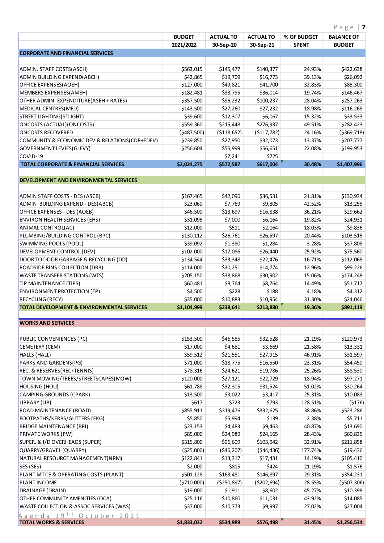|                                                       | <b>BUDGET</b> | <b>ACTUAL TO</b> | <b>ACTUAL TO</b> | % OF BUDGET  | Page   $7$<br><b>BALANCE OF</b> |
|-------------------------------------------------------|---------------|------------------|------------------|--------------|---------------------------------|
|                                                       | 2021/2022     | 30-Sep-20        | 30-Sep-21        | <b>SPENT</b> | <b>BUDGET</b>                   |
| <b>CORPORATE AND FINANCIAL SERVICES</b>               |               |                  |                  |              |                                 |
|                                                       |               |                  |                  |              |                                 |
| ADMIN. STAFF COSTS(ASCH)                              | \$563,015     | \$145,477        | \$140,377        | 24.93%       | \$422,638                       |
| ADMIN BUILDING EXPEND(ABCH)                           | \$42,865      | \$19,709         | \$16,773         | 39.13%       | \$26,092                        |
| OFFICE EXPENSES(AOEH)                                 | \$127,000     | \$49,821         | \$41,700         | 32.83%       | \$85,300                        |
| MEMBERS EXPENSES(AMEH)                                | \$182,481     | \$33,795         | \$36,014         | 19.74%       | \$146,467                       |
| OTHER ADMIN. EXPENDITURE(ASEH + RATES)                | \$357,500     | \$96,232         | \$100,237        | 28.04%       | \$257,263                       |
| MEDICAL CENTRES(MED)                                  | \$143,500     | \$27,260         | \$27,232         | 18.98%       | \$116,268                       |
| STREET LIGHTING(STLIGHT)                              | \$39,600      | \$12,307         | \$6,067          | 15.32%       | \$33,533                        |
| ONCOSTS (ACTUAL) (ONCOSTS)                            | \$559,360     | \$215,448        | \$276,937        | 49.51%       | \$282,423                       |
| <b>ONCOSTS RECOVERED</b>                              | (5487,500)    | ( \$118, 652)    | (5117, 782)      | 24.16%       | ( \$369, 718)                   |
| COMMUNITY & ECONOMIC DEV & RELATIONS(CDR+EDEV)        | \$239,850     | \$27,950         | \$32,073         | 13.37%       | \$207,777                       |
| GOVERNMENT LEVIES (GLEVY)                             | \$256,604     | \$55,999         | \$56,651         | 22.08%       | \$199,953                       |
| COVID-19                                              |               | \$7,241          | \$725            |              |                                 |
| <b>TOTAL CORPORATE &amp; FINANCIAL SERVICES</b>       | \$2,024,275   | \$572,587        | \$617,004        | 30.48%       | \$1,407,996                     |
|                                                       |               |                  |                  |              |                                 |
| <b>DEVELOPMENT AND ENVIRONMENTAL SERVICES</b>         |               |                  |                  |              |                                 |
| ADMIN STAFF COSTS - DES (ASCB)                        | \$167,465     | \$42,096         | \$36,531         | 21.81%       | \$130,934                       |
| ADMIN BUILDING EXPEND - DES(ABCB)                     | \$23,060      | \$7,769          | \$9,805          | 42.52%       | \$13,255                        |
| OFFICE EXPENSES - DES (AOEB)                          | \$46,500      | \$13,697         | \$16,838         | 36.21%       | \$29,662                        |
| <b>ENVIRON HEALTH SERVICES (EHS)</b>                  | \$31,095      | \$7,000          | \$6,164          | 19.82%       | \$24,931                        |
| ANIMAL CONTROL(AC)                                    | \$12,000      | \$511            | \$2,164          | 18.03%       | \$9,836                         |
| PLUMBING/BUILDING CONTROL (BPC)                       | \$130,112     | \$26,761         | \$26,597         | 20.44%       | \$103,515                       |
| SWIMMING POOLS (POOL)                                 | \$39,092      | \$1,380          | \$1,284          | 3.28%        | \$37,808                        |
| DEVELOPMENT CONTROL (DEV)                             | \$102,000     | \$17,086         | \$26,440         | 25.92%       | \$75,560                        |
| DOOR TO DOOR GARBAGE & RECYCLING (DD)                 | \$134,544     | \$33,348         | \$22,476         | 16.71%       | \$112,068                       |
| ROADSIDE BINS COLLECTION (DRB)                        | \$114,000     | \$30,251         | \$14,774         | 12.96%       | \$99,226                        |
| <b>WASTE TRANSFER STATIONS (WTS)</b>                  | \$205,150     | \$38,868         | \$30,902         | 15.06%       | \$174,248                       |
| TIP MAINTENANCE (TIPS)                                | \$60,481      | \$8,764          | \$8,764          | 14.49%       | \$51,717                        |
| <b>ENVIRONMENT PROTECTION (EP)</b>                    | \$4,500       | \$228            | \$188            | 4.18%        | \$4,312                         |
| <b>RECYCLING (RECY)</b>                               | \$35,000      | \$10,883         | \$10,954         | 31.30%       | \$24,046                        |
| <b>TOTAL DEVELOPMENT &amp; ENVIRONMENTAL SERVICES</b> | \$1,104,999   | \$238,641        | \$213,880        | 19.36%       | \$891,119                       |
|                                                       |               |                  |                  |              |                                 |
| <b>WORKS AND SERVICES</b>                             |               |                  |                  |              |                                 |
| PUBLIC CONVENIENCES (PC)                              | \$153,500     | \$46,585         | \$32,528         | 21.19%       | \$120,973                       |
| CEMETERY (CEM)                                        | \$17,000      | \$4,681          | \$3,669          | 21.58%       | \$13,331                        |
| HALLS (HALL)                                          | \$59,512      | \$21,551         | \$27,915         | 46.91%       | \$31,597                        |
| PARKS AND GARDENS(PG)                                 | \$71,000      | \$18,775         | \$16,550         | 23.31%       | \$54,450                        |
| REC. & RESERVES(REC+TENNIS)                           | \$78,316      | \$24,621         | \$19,786         | 25.26%       | \$58,530                        |
| TOWN MOWING/TREES/STREETSCAPES(MOW)                   | \$120,000     | \$27,121         | \$22,729         | 18.94%       | \$97,271                        |
| HOUSING (HOU)                                         | \$61,788      | \$32,305         | \$31,524         | 51.02%       | \$30,264                        |
| CAMPING GROUNDS (CPARK)                               | \$13,500      | \$3,022          | \$3,417          | 25.31%       | \$10,083                        |
| LIBRARY (LIB)                                         | \$617         | \$723            | \$793            | 128.51%      | (5176)                          |
| ROAD MAINTENANCE (ROAD)                               | \$855,911     | \$319,476        | \$332,625        | 38.86%       | \$523,286                       |
| <b>FOOTPATHS/KERBS/GUTTERS (FKG)</b>                  | \$5,850       | \$5,994          | \$139            | 2.38%        | \$5,711                         |
| <b>BRIDGE MAINTENANCE (BRI)</b>                       | \$23,153      | \$4,483          | \$9,463          | 40.87%       | \$13,690                        |
| <b>PRIVATE WORKS (PW)</b>                             | \$85,000      | \$24,989         | \$24,165         | 28.43%       | \$60,835                        |
| SUPER. & I/D OVERHEADS (SUPER)                        | \$315,800     | \$96,609         | \$103,942        | 32.91%       | \$211,858                       |
| QUARRY/GRAVEL (QUARRY)                                | (525,000)     | (546, 207)       | (544, 436)       | 177.74%      | \$19,436                        |
| NATURAL RESOURCE MANAGEMENT(NRM)                      | \$122,841     | \$13,317         | \$17,431         | 14.19%       | \$105,410                       |
| SES (SES)                                             | \$2,000       | \$815            | \$424            | 21.19%       | \$1,576                         |
| PLANT M'TCE & OPERATING COSTS (PLANT)                 | \$501,128     | \$163,481        | \$146,897        | 29.31%       | \$354,231                       |
| <b>PLANT INCOME</b>                                   | ( \$710,000)  | (5250, 897)      | (5202, 694)      | 28.55%       | ( \$507, 306)                   |
| DRAINAGE (DRAIN)                                      | \$19,000      | \$1,911          | \$8,602          | 45.27%       | \$10,398                        |
| OTHER COMMUNITY AMENITIES (OCA)                       | \$25,116      | \$10,860         | \$11,031         | 43.92%       | \$14,085                        |
| WASTE COLLECTION & ASSOC SERVICES (WAS)               | \$37,000      | \$10,773         | \$9,997          | 27.02%       | \$27,004                        |
| Agenda 19 <sup>TH</sup> October 2021                  |               |                  |                  |              |                                 |
| <b>TOTAL WORKS &amp; SERVICES</b>                     | \$1,833,032   | \$534,989        | \$576,498        | 31.45%       | \$1,256,534                     |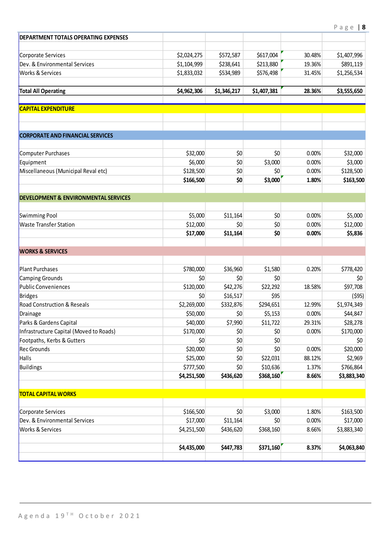| DEPARTMENT TOTALS OPERATING EXPENSES                 |                  |                 |                |        |                  |
|------------------------------------------------------|------------------|-----------------|----------------|--------|------------------|
| Corporate Services                                   | \$2,024,275      | \$572,587       | \$617,004      | 30.48% | \$1,407,996      |
| Dev. & Environmental Services                        | \$1,104,999      | \$238,641       | \$213,880      | 19.36% | \$891,119        |
| <b>Works &amp; Services</b>                          | \$1,833,032      | \$534,989       | \$576,498      | 31.45% | \$1,256,534      |
|                                                      |                  |                 |                |        |                  |
| <b>Total All Operating</b>                           | \$4,962,306      | \$1,346,217     | \$1,407,381    | 28.36% | \$3,555,650      |
| <b>CAPITAL EXPENDITURE</b>                           |                  |                 |                |        |                  |
|                                                      |                  |                 |                |        |                  |
| <b>CORPORATE AND FINANCIAL SERVICES</b>              |                  |                 |                |        |                  |
| Computer Purchases                                   | \$32,000         | \$0             | \$0            | 0.00%  | \$32,000         |
| Equipment                                            | \$6,000          | \$0             | \$3,000        | 0.00%  | \$3,000          |
| Miscellaneous (Municipal Reval etc)                  | \$128,500        | \$0             | \$0            | 0.00%  | \$128,500        |
|                                                      | \$166,500        | \$0             | \$3,000        | 1.80%  | \$163,500        |
| <b>DEVELOPMENT &amp; ENVIRONMENTAL SERVICES</b>      |                  |                 |                |        |                  |
|                                                      |                  |                 |                |        |                  |
| Swimming Pool                                        | \$5,000          | \$11,164        | \$0            | 0.00%  | \$5,000          |
| <b>Waste Transfer Station</b>                        | \$12,000         | \$0             | \$0            | 0.00%  | \$12,000         |
|                                                      | \$17,000         | \$11,164        | \$0            | 0.00%  | \$5,836          |
| <b>WORKS &amp; SERVICES</b>                          |                  |                 |                |        |                  |
|                                                      |                  |                 |                |        |                  |
| <b>Plant Purchases</b>                               | \$780,000<br>\$0 | \$36,960<br>\$0 | \$1,580<br>\$0 | 0.20%  | \$778,420<br>\$0 |
| <b>Camping Grounds</b><br><b>Public Conveniences</b> | \$120,000        | \$42,276        | \$22,292       | 18.58% | \$97,708         |
| <b>Bridges</b>                                       | \$0              | \$16,517        | \$95           |        | (595)            |
| <b>Road Construction &amp; Reseals</b>               | \$2,269,000      | \$332,876       | \$294,651      | 12.99% | \$1,974,349      |
| Drainage                                             | \$50,000         | \$0             | \$5,153        | 0.00%  | \$44,847         |
| Parks & Gardens Capital                              | \$40,000         | \$7,990         | \$11,722       | 29.31% | \$28,278         |
| Infrastructure Capital (Moved to Roads)              | \$170,000        | \$0             | \$0            | 0.00%  | \$170,000        |
| Footpaths, Kerbs & Gutters                           | \$0              | \$0             | \$0            |        | \$0              |
| <b>Rec Grounds</b>                                   | \$20,000         | \$0             | \$0            | 0.00%  | \$20,000         |
| <b>Halls</b>                                         | \$25,000         | \$0             | \$22,031       | 88.12% | \$2,969          |
| <b>Buildings</b>                                     | \$777,500        | \$0             | \$10,636       | 1.37%  | \$766,864        |
|                                                      | \$4,251,500      | \$436,620       | \$368,160      | 8.66%  | \$3,883,340      |
| <b>TOTAL CAPITAL WORKS</b>                           |                  |                 |                |        |                  |
| Corporate Services                                   | \$166,500        | \$0             | \$3,000        | 1.80%  | \$163,500        |
| Dev. & Environmental Services                        | \$17,000         | \$11,164        | \$0            | 0.00%  | \$17,000         |
| Works & Services                                     | \$4,251,500      | \$436,620       | \$368,160      | 8.66%  | \$3,883,340      |
|                                                      |                  |                 |                |        |                  |
|                                                      | \$4,435,000      | \$447,783       | \$371,160      | 8.37%  | \$4,063,840      |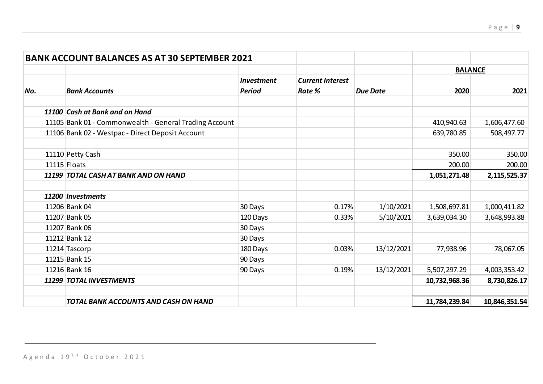|     | <b>BANK ACCOUNT BALANCES AS AT 30 SEPTEMBER 2021</b>   |                   |                         |                 |                |               |
|-----|--------------------------------------------------------|-------------------|-------------------------|-----------------|----------------|---------------|
|     |                                                        |                   |                         |                 | <b>BALANCE</b> |               |
|     |                                                        | <b>Investment</b> | <b>Current Interest</b> |                 |                |               |
| No. | <b>Bank Accounts</b>                                   | <b>Period</b>     | <b>Rate %</b>           | <b>Due Date</b> | 2020           | 2021          |
|     | 11100 Cash at Bank and on Hand                         |                   |                         |                 |                |               |
|     | 11105 Bank 01 - Commonwealth - General Trading Account |                   |                         |                 | 410,940.63     | 1,606,477.60  |
|     | 11106 Bank 02 - Westpac - Direct Deposit Account       |                   |                         |                 | 639,780.85     | 508,497.77    |
|     | 11110 Petty Cash                                       |                   |                         |                 | 350.00         | 350.00        |
|     | 11115 Floats                                           |                   |                         |                 | 200.00         | 200.00        |
|     | 11199 TOTAL CASH AT BANK AND ON HAND                   |                   |                         |                 | 1,051,271.48   | 2,115,525.37  |
|     | 11200 Investments                                      |                   |                         |                 |                |               |
|     | 11206 Bank 04                                          | 30 Days           | 0.17%                   | 1/10/2021       | 1,508,697.81   | 1,000,411.82  |
|     | 11207 Bank 05                                          | 120 Days          | 0.33%                   | 5/10/2021       | 3,639,034.30   | 3,648,993.88  |
|     | 11207 Bank 06                                          | 30 Days           |                         |                 |                |               |
|     | 11212 Bank 12                                          | 30 Days           |                         |                 |                |               |
|     | 11214 Tascorp                                          | 180 Days          | 0.03%                   | 13/12/2021      | 77,938.96      | 78,067.05     |
|     | 11215 Bank 15                                          | 90 Days           |                         |                 |                |               |
|     | 11216 Bank 16                                          | 90 Days           | 0.19%                   | 13/12/2021      | 5,507,297.29   | 4,003,353.42  |
|     | 11299 TOTAL INVESTMENTS                                |                   |                         |                 | 10,732,968.36  | 8,730,826.17  |
|     | TOTAL BANK ACCOUNTS AND CASH ON HAND                   |                   |                         |                 | 11,784,239.84  | 10,846,351.54 |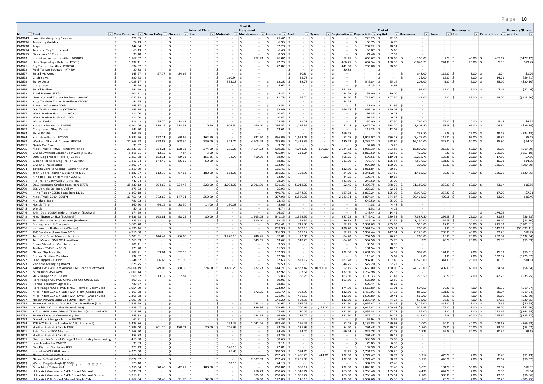# P a g e | **10**

|                                   |                                                                                       |                                                                                                            |                               |                                                    |                                                                       |                                        | Plant &                                                                                                |                                               |                                             |                                          |                                                                       |                                                     |                                             |                                 |                                    |                                          |                                                   |                                  |
|-----------------------------------|---------------------------------------------------------------------------------------|------------------------------------------------------------------------------------------------------------|-------------------------------|----------------------------------------------------|-----------------------------------------------------------------------|----------------------------------------|--------------------------------------------------------------------------------------------------------|-----------------------------------------------|---------------------------------------------|------------------------------------------|-----------------------------------------------------------------------|-----------------------------------------------------|---------------------------------------------|---------------------------------|------------------------------------|------------------------------------------|---------------------------------------------------|----------------------------------|
| No.                               | $\blacktriangleright$ Plant                                                           | $\ \mathbf{v}\ $ Total Expense $\ \mathbf{v}\ $ Sal and Wag $\ \mathbf{v}\ $ Oncosts $\ \mathbf{v}\ $ Hire |                               |                                                    | <b>Internal Plant</b>                                                 | $\blacktriangleright$ Materials        | Equipment<br>$\blacktriangledown$ Maintenance $\blacktriangledown$ Insurance $\blacktriangledown$ Fuel |                                               |                                             | $\vert \cdot \vert$ Tyres                | $\ \cdot\ $ Registration $\ \cdot\ $ Depreciation $\ \cdot\ $ capital |                                                     | Cost of                                     | $\blacktriangleright$ Recovered | $\vert \cdot \vert$ Hours          | Recovery per<br>$\vert \cdot \vert$ Hour | $\mathbf{v}$ Expenditure p( $\mathbf{v}$ per Hour | Recovery/(Loss)<br>$\rightarrow$ |
|                                   | PM0149 Loadrite Weighing System                                                       | - Ś<br>$271.05$ \$                                                                                         |                               | - \$                                               | - Ś<br>$\sim$                                                         | -Ś                                     |                                                                                                        | 25.47                                         | l S<br>$\sim$                               | $\vert$ \$                               | ∣ \$                                                                  | - Ś<br>223.25                                       | 22.33<br>- S                                | $\sim$                          |                                    |                                          |                                                   |                                  |
|                                   | PM0196 Transmig Welder                                                                | \$<br>$74.43 \mid 5$                                                                                       | $\sim$                        | - \$<br>$\sim$                                     | - Ś<br>$\sim$                                                         | $\zeta$                                | Ŝ.<br>$\sim$                                                                                           | $6.93 \mid 5$<br>$\leq$                       | $\vert$ \$<br>$\sim$ $-$                    |                                          | ∣\$<br>$\sim$                                                         | S.<br>60.75                                         | ∣ \$<br>6.75                                | $\sim$                          | $\sim$                             |                                          |                                                   |                                  |
| PM0238 Auger                      |                                                                                       | - Ś<br>$342.94$ \$<br>Ŝ.                                                                                   | $\sim$                        | $\sim$                                             | Ŝ<br>$\sim$<br>-Ś                                                     | $\sim$<br>Ŝ.                           | .S<br>$\sim$ $-$                                                                                       | 32.20                                         | $\sim$ $-$                                  | l \$<br>$\sim$                           | $\sim$ $-$                                                            | 282.22<br>- Ś                                       | 28.51                                       | $\sim$                          | $\sim$                             |                                          |                                                   |                                  |
| PM0255                            | PM0254   Test and Tag Equipment<br>Floor Jack 15 Tonne                                | $68.13$ \$<br>- Ś<br>$90.48$ \$                                                                            | $\sim$<br>$\sim$              | - \$<br>$\overline{\phantom{a}}$<br>- \$<br>$\sim$ | $\sim$<br>-Ś<br>$\sim$                                                | -Ś<br>$\sim$ $-$                       | - Ś<br>- Ś<br>$\sim$ $-$                                                                               | 6.40<br>8.50                                  | $\vert$ \$<br>$\sim$<br>$\sim$ $-$          | $\sim$<br>∣\$<br>$\sim$                  | ∣\$<br>$\sim$ $-$<br>$\sim$                                           | S.<br>56.07<br>74.46<br>-Ś                          | 5.66<br>7.52                                | $\sim$<br>$\sim$ $-$            | $\sim$<br>$\sim$                   |                                          |                                                   |                                  |
| PM613                             | Komatsu Loader Hamilton BO8817                                                        | \$<br>$1,167.92$ \$                                                                                        | $\sim$                        | ∣ \$<br>$\sim$                                     | - Ś<br>$\sim$                                                         | $-$ \$<br>\$                           | $272.73$ \$                                                                                            | $76.07$ \$                                    | - 15<br>$\sim$ $-$                          | $\sim$                                   | $52.45 \mid$ \$<br>∣\$                                                | $666.67$ \$                                         | $100.00$ \$                                 | 100.00                          | $2.5$ \$                           | $40.00$ \$                               | 467.17                                            | (5427.17)                        |
| <b>PM620</b>                      | Herc Superdog - Kelvin (IT2581)                                                       | - Ś<br>$1,337.11$ \$                                                                                       | $\sim$                        | - \$<br>$\sim$                                     | -Ś<br>$\sim$                                                          | - Ś<br>$\sim$                          | ۱Ś.<br>$\sim$                                                                                          | $72.73$ \$<br>∣ <                             | $\sim$ 10 $\pm$                             | ∣\$<br>$\sim$                            | 466.75<br>- \$<br>∣\$                                                 | 637.34                                              | 160.30<br>∣\$                               | 6,043.75                        | $241.8$ \$                         | $25.00$ \$                               | 5.53                                              | \$19.47                          |
| <b>PM621</b><br><b>PM622</b>      | Pig Trailer Hamilton OT0770<br>Fuel Tanker Bothwell PT4204                            | $694.32$ \$<br>-Ś<br>Ŝ.<br>$20.88$ \$                                                                      | $\sim$<br>$\sim$              | - \$<br>$\sim$<br>-S                               | -Ś<br>$\sim$<br>\$.                                                   | Ŝ.<br>$\sim$<br>-Ś<br>$\sim$           | ∣ \$<br>$\sim$ $-$<br>- Ś                                                                              | 22.82<br>∣ <                                  | $\sim$ $-$<br>-Ś<br>$\sim$                  | $\vert$ \$<br>$\sim$<br>∣\$              | 441.50<br>∫ <<br>∫∽<br>20.88<br>-S                                    | 200.00<br>$\sim$                                    | 30.00<br>Ŝ.<br>$\sim$                       | $\sim$ $-$<br>$\sim$            | $\sim$<br>$\overline{\phantom{a}}$ |                                          |                                                   |                                  |
| <b>PM627</b>                      | Small Mowers                                                                          | S.<br>$143.27$ \$                                                                                          | 57.77                         | 34.66<br>l \$                                      | $\sim$ $-$                                                            | -Ś<br>$\sim$                           | .S<br>$\sim$                                                                                           |                                               | 50.84                                       | ۱s<br>$\sim$                             | ∣<<br>$\sim$                                                          |                                                     | $\sim$                                      | 348.00<br>∣\$                   | $116.0$ \$                         |                                          | $3.00 \, \text{S}$<br>1.24                        | \$1.76                           |
| <b>PM628</b>                      | Chainsaws                                                                             | Ŝ.<br>$220.72$ \$                                                                                          | $\sim$                        | -Ś<br>$\sim$                                       | -Ś<br>$\sim$ $-$                                                      | 160.94<br>Ŝ.                           | 5 ا<br>$\sim$ $-$                                                                                      |                                               | Ŝ<br>$59.78$ \$                             | $\sim$                                   | ∣ Ś<br>$\sim$                                                         |                                                     | Ŝ.<br>$\sim$                                | ۱s<br>75.00                     | $15.0 \mid$ \$                     | $5.00$ \$                                | 14.71                                             | (59.71)                          |
| <b>PM629</b>                      | Spray Units                                                                           | - Ś<br>$1,029.17$ \$                                                                                       | $\sim$                        | -S<br>$\sim$                                       | -Ś<br>$\sim 100$                                                      | - Ś<br>333.18                          | ∣\$<br>$ \vert$ S                                                                                      | 62.28                                         | $32.73$ \$<br>l S                           | $\sim$ $-$                               | S<br>$\sim$ $-$                                                       | 545.84<br>- Ś                                       | 55.14                                       | 205.00                          | $41.0 \mid \xi$                    | $5.00 \, \vert \, \text{S}$              | 25.10                                             | ( \$20.10)                       |
| <b>PM630</b>                      | Compressors<br><b>Small Trailers</b>                                                  | - Ś<br>$59.79$ \$<br>- Ś<br>$141.69$ \$                                                                    | $\sim$<br>$\sim$              | - \$<br>- \$<br>$\overline{\phantom{a}}$           | -Ś<br>$\sim$<br>-Ś<br>$\sim$                                          | $\leq$<br>$\sim$<br>Ŝ.<br>$\sim$       | - Ś<br>$\sim$ $-$<br>.S                                                                                | 5.62<br>$\leq$                                | l S<br>$\sim$<br>$\sim$                     | ∣\$<br>$\sim$<br>l S<br>$\sim$           | l \$<br>$\sim$<br>141.69<br>- S                                       | $\leq$<br>49.25                                     | 4.93<br>Ŝ.<br>$\sim$                        | $\sim$<br>95.00<br>IS.          | $\sim$<br>$19.0$ \$                | $5.00$ \$                                | 7.46                                              | (52.46)                          |
| <b>PM636</b><br><b>PM652</b>      | Road Broom UT7744                                                                     | $\zeta$<br>$101.11$ \$                                                                                     | $\sim$                        | ∣ <<br>$\sim$                                      | -Ś<br>$\sim$                                                          | $\leq$<br>$\sim$                       | - Ś<br>$\sim$                                                                                          | 5.82<br>۱Ś.                                   | ∣ <<br>∣\$<br>$\sim$ $-$                    | $\sim$                                   | 34.29<br>$\mathsf{S}$                                                 | 51.00                                               | 10.00<br>- \$                               | $\sim$                          | $\sim$                             |                                          |                                                   |                                  |
| <b>PM654</b>                      | New Holland Tractor Bothwell B08NC                                                    | -Ś<br>$1,037.38$ \$                                                                                        | $\sim$                        | - \$<br>$\sim$                                     | -Ś<br>$\sim$                                                          | $\leq$<br>$\sim$                       | - Ś<br>$\sim$                                                                                          | 81.78<br>∣ <                                  | $46.74$ \$                                  | $\sim$                                   | 84.70<br>∫ <                                                          | 716.67                                              | $107.50$ \$<br>∣\$                          | 245.00                          | $7.0$   \$                         | $35.00$ \$                               | 148.20                                            | ( \$113.20)                      |
| <b>PM662</b>                      | King Tandem Trailer Hamilton YT0630                                                   | \$<br>$44.75$ \$                                                                                           | $\sim$                        | - \$<br>$\sim$                                     | -Ś<br>$\sim$                                                          | Ŝ.<br>$\sim$                           | - Ś                                                                                                    |                                               | ∣ Ś<br><u>is</u><br>$\sim$ $-$              | $\sim$                                   | 44.75<br>∣ S                                                          | $\sim$                                              | - \$<br>$\sim$                              | $\sim$                          | $\sim$                             |                                          |                                                   |                                  |
| <b>PM664</b><br><b>PM665</b>      | Pressure Cleaner 2003<br>Dog Trailer - Neville (YT5100)                               | - Ś<br>$143.87$ \$<br>$\mathsf{S}$<br>$1,145.14$ \$                                                        | $\sim$<br>$\sim$              | - \$<br>- \$<br>$\overline{\phantom{a}}$           | -Ś<br>$\sim$<br>-Ś<br>$\sim$                                          | Ŝ.<br>$\sim$<br>Ŝ.<br>$\sim$           | - Ś<br>$\sim$ $-$<br>- Ś<br>$\sim$                                                                     | 13.51<br>∣\$<br>53.09<br>∣ \$                 | ∣<<br>$\sim$<br>$\sim$ $-$                  | l \$<br>$\sim$<br>$\vert$ \$             | ∣ \$<br>$\sim$<br>466.75<br>-S<br>l S                                 | 118.40<br>-S<br>$465.29$ \$                         | $11.96$ \$<br>- 9<br>$160.01$ \$            | $\sim$<br>$\sim$                | $\sim$<br>$\sim$                   |                                          |                                                   |                                  |
| <b>PM667</b>                      | Work Station Hamilton 2003                                                            | $111.00 \mid 5$                                                                                            | $\sim$                        | - \$<br>$\sim$                                     | -Ś<br>$\sim$                                                          | Ŝ.<br>$\sim$                           | ∣ \$<br>$\sim$                                                                                         | 10.42<br>$\leq$                               | $\vert$ \$<br>$\sim$ $-$                    | $\sim$                                   | ۱s<br>$\sim$                                                          | $91.35$ \$<br>-Ś.                                   | 9.23                                        | $\sim$                          | $\sim$                             |                                          |                                                   |                                  |
| <b>PM668</b>                      | Work Station Bothwell 2003                                                            | -Ś<br>$111.00$ \$                                                                                          | $\sim$                        | - \$<br>$\sim$                                     | -Ś<br>$\sim$ $-$                                                      | $\sim$                                 | .S<br>$\sim$                                                                                           | 10.42                                         | $\sim$ $-$                                  | l \$<br>$\sim$                           | $\sim$                                                                | 91.35                                               | $9.23$ \$<br>∣ S                            | $\sim$                          | $\sim$                             |                                          |                                                   |                                  |
| PM671                             | <b>Water Tanker</b>                                                                   | -Ś<br>$416.43$ \$                                                                                          | 55.70                         | 33.42<br>∣ \$                                      | ۱Ś.<br>$\sim 100$                                                     | - \$<br>$\sim$                         | ∣\$<br>$\sim$                                                                                          | 28.53                                         | $11.28$ \$                                  | $\sim$                                   | ∣\$<br>$\sim$                                                         | 250.00<br>- Ś                                       | $37.50$ \$                                  | 760.00                          | $76.0$ \$                          | $10.00$ \$                               | 5.48                                              | \$4.52                           |
| <b>PM676</b><br><b>PM677</b>      | Kobelco Excavator FA6566                                                              | - Ś<br>$6,104.06$ \$<br>- Ś<br>$144.90$ \$                                                                 | 389.19<br>$\sim$              | 233.52<br>S.<br>∣ \$<br>$\sim$                     | 10.50<br>- S<br>۱Ś<br>$\sim$                                          | 904.54<br>- Ś<br>$\sim$                | 460.00<br>∣ S<br>∣ \$                                                                                  | 236.52<br>13.61                               | $1,226.35$ \$<br>IS.<br>$\sim$              | $\sim$ $-$<br>∣\$<br>$\sim$              | 52.45<br>∣ S<br>∣\$<br>$\sim$                                         | - \$<br>2,072.79<br>-Ś<br>$119.25$ \$               | $518.20$ \$<br>$\overline{S}$<br>$12.05$ \$ | 3,802.50<br>$\sim$ $-$          | $58.5$ \$<br>$\sim$                | $65.00$ \$                               | 104.34                                            | (539.34)                         |
| <b>PM682</b>                      | Compressor/Post Driver<br>Float IT0169                                                | S.<br>$466.75$ \$                                                                                          | $\sim$                        | - \$<br>$\sim$                                     | - \$<br>$\sim$ $-$                                                    | - Ś<br>$\sim$ $-$                      | ∣ \$<br>$\sim$                                                                                         |                                               | $\sim$                                      | ۱s<br>$\sim$                             | 466.75<br>∣ \$                                                        |                                                     | Ŝ.<br>$\sim$                                | 237.50<br>$\mathsf{S}$          | $9.5$ \$                           | $25.00$ \$                               | 49.13                                             | (524.13)                         |
| <b>PM684</b>                      | Komatsu Grader FC7003                                                                 | S.<br>$6,884.76$ \$                                                                                        | $157.21$ \$                   | 60.66                                              | 162.50<br>∣ <                                                         | $ \sqrt{5}$<br>- Ś                     | 742.50                                                                                                 | 336.06<br>S.                                  | $1,692.05$ \$<br>IS.                        | $\sim$                                   | 52.45<br>$\overline{\phantom{a}}$                                     | $2,945.07$ \$<br>- S                                | $736.27$ \$                                 | 7,475.00                        | $115.0$ \$                         | $65.00$ \$                               | 59.87                                             | \$5.13                           |
| <b>PM687</b>                      | Western Star - H. Chivers FB5754                                                      | -Ś<br>$11,563.62$ \$                                                                                       | 378.87                        | 208.30<br>l \$                                     | 239.00                                                                | $323.77$ \$                            | 4,505.49                                                                                               | 255.05                                        | $2,428.35$ \$<br>- S                        | $\sim$ $-$                               | . S<br>430.78                                                         | 2,235.21<br>-S                                      | 558.80<br>∣\$                               | 16,150.00                       | $323.0$ \$                         | $50.00$ \$                               | 35.80                                             | \$14.20                          |
| <b>PM695</b><br><b>PM705</b>      | Quick Cut Saw<br>Mack Truck FP4026 - Andrew Jones                                     | \$<br>$39.62 \mid$ \$<br>- Ś<br>$21,833.35$ \$                                                             | $\sim$<br>$554.21$ \$         | - \$<br>$\sim$<br>$128.13$ \$                      | - \$<br>$\sim 10^{-10}$<br>374.50                                     | - \$<br>$-$ 5<br>$295.26$ \$<br>- \$   | $\sim$ $-$<br>7,254.22 \$                                                                              | 3.72<br>∣\$<br>569.21                         | <u>is</u><br>$\sim$<br>$4,041.02$ \$<br>5.  | $\sim$ $-$<br>$600.00$ \$                | ∣ \$<br>$\sim$<br>$2,524.53$ \$                                       | 32.60<br>-S<br>4,988.39                             | 3.29<br>$503.88$ \$<br>∣\$                  | $\sim 100$<br>15,800.00         | $\sim$<br>$316.0$ \$               | $50.00$ \$                               | 69.09                                             | (519.09)                         |
| <b>PM709</b>                      | CAT 950 Wheel Loader Bothwell (FR3357)                                                | \$<br>$5,318.21$ \$                                                                                        | 13.12                         | 7.87<br>l \$                                       | 3.50<br>l S                                                           | - 5<br>$\sim$ $-$                      | l \$<br>$\sim$                                                                                         | S.<br>435.04                                  | $231.24$ \$<br>l \$                         | $\sim$                                   | 52.45<br>∣ \$                                                         | $3,812.50$ \$<br>- \$                               | 762.50 \$                                   | 420.00                          | $7.5$ \$                           | $56.00$ \$                               | 709.10                                            | ( \$653.10)                      |
| <b>PM717</b>                      | 2008 Dog Trailer (Harold) Z54AB                                                       | - Ś<br>$2,253.08$ \$                                                                                       | 183.11                        | $59.73$ \$<br>l \$                                 | 156.25                                                                | $92.70$ \$<br>- 5                      | 460.00                                                                                                 | 68.07<br>$\leq$                               | l S<br>$\sim$                               | $50.00$ \$<br>$\vert$ \$                 | 466.75<br>- \$                                                        | $596.56$ \$                                         | $119.91$ \$                                 | 3,218.75                        | $128.8$ \$                         | $25.00$ \$                               | 17.50                                             | \$7.50                           |
| <b>PM720</b>                      | S/Hand Tri Axle Dog Trailer Z24BO                                                     | - Ś<br>$1,816.24$ \$                                                                                       | 144.42                        | 86.65<br>∣\$                                       | 50.00                                                                 | $\sim$ $-$                             | - Ś                                                                                                    | 88.86                                         | $\sim$ $-$                                  | l \$                                     | 511.00<br>∫ <                                                         | 778.77                                              | $156.54$ \$<br>∣\$                          | 4,537.50                        | $181.5$ \$                         | $25.00$ \$                               | 10.01                                             | \$14.99                          |
| <b>PM723</b>                      | CAT 943 Traxcavator                                                                   | - Ś<br>$1,202.97$ \$<br>- Ś                                                                                | $\sim$<br>$\sim$              | ∣ \$<br>$\sim$<br>- \$<br>$\sim$                   | ۱s<br>$\sim$<br>- Ś<br>$\sim$ $-$                                     | - \$<br>$\sim$ $-$<br>-Ś<br>$\sim$ $-$ | I \$<br>l S<br>$\sim$ $-$                                                                              | $112.97$ \$<br>S.<br>S.                       | $\vert$ \$<br>$\sim$<br><u>is</u>           | $\sim$<br>$\sim$                         | ∣\$<br>$\sim$<br>132.50<br>∣ \$                                       | - Ś<br>990.00<br>-Ś.                                | $100.00$ \$<br>50.59                        | 300.00<br>$\sim$                | $10.0$ \$<br>$\sim$                | $30.00$ \$                               | 120.30                                            | ( \$90.30)                       |
| <b>PM724</b><br><b>PM726</b>      | Toyota Corolla Ascent - Doctor A48YD<br>John Deere Tractor & Slasher B47EG            | $1,310.39$ \$<br>\$<br>$5,387.07$ \$                                                                       | $112.72 \mid$ \$              | 67.63                                              | l \$<br>180.00                                                        | 683.05 \$<br>- Ś                       | $\sim$ $-$                                                                                             | $115.46$ \$<br>$381.26$ \$                    | $\sim$ $-$<br>198.96 \$                     | $\sim$                                   | 84.70<br>∣\$                                                          | 1,011.84<br>$3,341.25$ \$<br>S.                     | 337.50                                      | 1,462.50                        | $32.5$ \$                          | $45.00$ \$                               | 165.76                                            | ( \$120.76)                      |
| <b>PM729</b>                      | King Box Trailer Hamilton Z92HG                                                       | S.<br>$173.24$ \$                                                                                          | $\sim$                        | - \$<br>$\sim$                                     | - \$<br>$\sim$ $-$                                                    | - Ś<br>$\sim$                          | - Ś<br>$\sim$ $-$                                                                                      | 12.07<br>∣ <                                  | $\sim$                                      | ۱s<br>$\sim$                             | 44.75<br>∣ <                                                          | $\leq$<br>$105.75$ \$                               | 10.68                                       | $\sim$                          | $\sim$                             |                                          |                                                   |                                  |
| <b>PM731</b>                      | Pig Trailer Bothwell VT9746 HC                                                        | S.<br>$742.24$ \$                                                                                          | $\sim$ $-$                    | ∣ \$<br>$\sim$                                     | - Ś<br>$\sim 10^{-10}$                                                | - Ś<br>$\sim$ 10 $\pm$                 | I \$<br>$\sim$ $-$                                                                                     | 28.24<br>∣ <                                  | $\sim$ $-$                                  | ∣\$<br>$\sim$ $-$                        | 441.50<br>∣ <<br>∫∽                                                   | 247.50                                              | 25.00                                       | $\sim$ $-$                      | $\sim$                             |                                          |                                                   |                                  |
| <b>PM733</b>                      | 2010 Komatsu Grader Hamilton-B73TJ                                                    | -Ś<br>$15,230.12$ \$<br>\$                                                                                 | 694.69                        | 324.48<br>5<br>-Ś                                  | ۱Ś<br>322.00<br>- \$<br>$\sim$ $-$                                    | 1,033.07<br>Ŝ.<br>$\sim$               | ۱s<br>2,011.30<br>- Ś                                                                                  | 501.36<br>∣\$                                 | $5,018.27$ \$<br>- Ś                        | $\sim$                                   | 52.45<br>∣ S<br>۱s<br>- \$<br>$\sim$                                  | $4,393.75$ \$<br>I\$.                               | 878.75 \$                                   | 21,180.00                       | $353.0$ \$                         | $60.00$ \$                               | 43.14                                             | \$16.86                          |
| <b>PM739</b><br><b>PM740</b>      | SES Vehicle Ex Huon Valley<br>Hino Tipper C95BL Hamilton 11/11                        | $275.93$ \$<br>- Ś<br>$6,360.18$ \$                                                                        | $\sim$<br>$\sim$              | $\sim$<br>∣ \$<br>$\sim$                           | - Ś<br>$\sim$ $-$                                                     | - Ś<br>$\sim$                          | $\sim$<br>ا \$<br>$\sim$ $-$                                                                           | 25.93<br>440.71<br>S.                         | - 15<br>$\sim$ $-$<br>$1,574.39$ \$<br>I \$ | $\sim$ $-$<br>$\sim$                     | 287.78 \$<br>$\vert$ \$                                               | $227.27$ \$<br>$3,862.24$ \$                        | $22.73$ \$<br>$195.06$ \$                   | $\sim$ $-$<br>8,937.50          | $\sim$<br>$357.5$ \$               | $25.00$ \$                               | 17.79                                             | \$7.21                           |
| <b>PM741</b>                      | Mack Truck 2010 (C90JY)                                                               | \$<br>$13,751.42$ \$                                                                                       | 372.60                        | 147.31<br>S.                                       | 350.00<br>۱Ś.                                                         | S,<br>$\sim$ $-$                       | - Ś<br>$\sim$ $-$                                                                                      | ∣ \$<br>327.98                                | l S<br>$6,580.38$ \$                        | $\sim$                                   | ∣ \$<br>2,523.94                                                      | S.<br>$2,874.34$ \$                                 | $574.87$ \$                                 | 20,462.50                       | $409.3$ \$                         | $50.00$ \$                               | 33.60                                             | \$16.40                          |
| <b>PM743</b>                      | Mulcher Head                                                                          | - Ś<br>$781.93$ \$                                                                                         | $\sim$                        | - \$<br>$\sim$                                     | - \$<br>$\sim$ $-$                                                    | S,<br>$\sim$                           | ∣ \$<br>$\sim$ $-$                                                                                     | 73.43<br>∣ \$                                 | ∣\$<br>∣<<br>$\sim$ $-$                     | $\sim$ $-$                               | ∣ \$<br>$\sim$                                                        | $643.50$ \$<br>- Ś                                  | $65.00$ \$                                  | $\sim$                          | $\sim$                             |                                          |                                                   |                                  |
| <b>PM744</b>                      | Honda Tiller                                                                          | - Ś<br>$360.60$ \$<br>Ŝ.                                                                                   | 64.16                         | 38.50<br>∣ \$<br>∣ \$                              | 14.00<br>۱Ś.                                                          | 190.08<br>- \$                         | $\sim$<br>$\sim$                                                                                       | 5.06                                          | $\sim$                                      | l \$                                     | - S                                                                   | 44.33<br>S.<br>S.                                   | 4.48                                        | $\sim$                          | $\sim$                             |                                          |                                                   |                                  |
| <b>PM745</b><br><b>PM746</b>      | Welder<br>John Deere X304 Ride on Mower (Bothwell)                                    | $50.43 \mid 5$<br>\$<br>$174.29$ \$                                                                        | $\sim$<br>$\sim$              | $\sim$<br>- \$<br>$\sim$                           | ۱s<br>$\sim$<br>- Ś<br>$\sim$                                         | $-$ 5<br>- Ś<br>$\sim$ 100 $\mu$       | l \$<br>$\sim$                                                                                         | $4.74 \,$ \$<br>∣\$<br>16.37<br>-S            | $-$ 5<br>$\sim$ $-$                         | $\sim$<br>∣\$<br>$\sim$                  | ∣\$<br>$\sim$ $-$<br>∣ S<br>$\sim$                                    | $41.51 \mid \zeta$<br>- Ś<br>$143.44$ \$            | 4.19<br>14.49                               | $\sim$<br>$\sim$ $-$            | $\sim$<br>$\sim$                   |                                          | - Ś<br>174.29                                     |                                  |
| <b>PM748</b>                      | Hino Tipper C43LG (Bothwell)                                                          | S.<br>$9,436.58$ \$                                                                                        | 163.81                        | 98.29<br>l \$                                      | ۱Ś<br>80.00                                                           | $ \sqrt{5}$<br>- Ś                     | 1,915.05                                                                                               | $541.15$ \$<br>S.                             | $1,368.57$ \$                               | $\sim$                                   | $287.78$ \$<br>∣\$                                                    | $4,742.42$ \$                                       | $239.52$ \$                                 | 7,387.50                        | $295.5$ \$                         | $25.00$ \$                               | 31.93                                             | (56.93)                          |
| <b>PM751</b>                      | Toro Groundmaster Mower (Bothwell)                                                    | - Ś<br>$1,385.62$ \$                                                                                       | $\sim$                        | - \$                                               | -Ś<br>$\sim$                                                          | Ŝ.<br>$\sim$ 10 $\pm$                  | IS.<br>210.00                                                                                          | 93.25                                         | $153.32 \mid$ \$<br>∣\$                     | $\sim$                                   | ۱s<br>29.32                                                           | 817.19<br>-S                                        | $82.54$ \$<br>-S                            | 1,150.00                        | $57.5$ \$                          | $20.00$ \$                               | 24.10                                             | (54.10)                          |
| <b>PM753</b>                      | Bomag Landfill Compactor                                                              | S.<br>$3,600.70$ \$                                                                                        | $\sim$ $-$                    | S.<br>$\sim$                                       | - Ś<br>$\sim$                                                         | - Ś<br>$\sim$ $-$                      | ∣ \$<br>$\sim$ $ \sim$                                                                                 | $266.41$ \$                                   | $711.33$ \$                                 | $\sim$ $-$                               | $52.45 \mid 5$<br>∣\$.                                                | $2,334.69$ \$                                       | 235.83                                      | 510.00                          | $17.0$ \$                          | $30.00$ \$                               | 211.81                                            | (5181.81)                        |
| <b>PM756</b><br><b>PM757</b>      | Kenworth - Bothwell (Whelan)<br>JBC Backhoe (Hamilton 2013)                           | $4,596.46$ \$<br>- \$<br>$4,716.30$ \$                                                                     | $\sim$ $-$<br>$\sim$          | 5<br>∣\$<br>$\sim$                                 | - Ś<br>- Ś<br>$\sim$ 100 $\mu$                                        | - Ś<br>- \$<br>$\sim$                  | - Ś<br>- Ś<br>$\sim$                                                                                   | 289.98 \$<br>I \$<br>336.90<br>5.             | $699.15$ \$<br>$927.17$ \$<br>۱Ś            | $ \sqrt{5}$<br>$\sim$                    | 52.45<br>l S                                                          | $430.78$ \$ 2,541.24 \$<br>2,952.44<br>- \$         | $635.31$ \$<br>$447.34$ \$<br>I \$          | 200.00<br>8,120.00              | $4.0 \, \vert \,$ \$<br>$203.0$ \$ | $50.00$ \$<br>$40.00$ \$                 | 1,149.11<br>23.23                                 | (51,099.11)<br>\$16.77           |
| <b>PM762</b>                      | Toro Out Front Mower Hamilton                                                         | - Ś<br>$3,283.01$ \$                                                                                       | 144.42                        | 86.65<br>5                                         | I \$<br>$\sim$ 100 $\mu$                                              | $1,228.18$ \$<br>\$                    | 740.45                                                                                                 | $87.01$ \$<br>S.                              | $72.86$ \$                                  | $\sim$                                   | ∣ \$<br>84.70<br>5                                                    | 762.50 \$                                           | 76.25                                       | 260.00                          | $13.0 \mid \xi$                    | $20.00$ \$                               | 252.54                                            | ( \$232.54)                      |
| <b>PM763</b>                      | Toro Mower GM7200 Hamilton                                                            | - Ś<br>$1,260.39$ \$                                                                                       | $\sim$                        | ∣\$<br>$\sim$                                      | - Ś<br>$\sim$ $-$                                                     | - Ś<br>$\sim$                          | 349.55<br>∣ \$                                                                                         | 63.62<br>∣\$                                  | $149.28$ \$<br>۱Ś.                          | $\sim$                                   | 84.70<br>∣ \$<br>- \$                                                 | $557.50$ \$                                         | $55.75$ \$                                  | 970                             | 48.5 \$                            | $20.00$ \$                               | 25.99                                             | (55.99)                          |
| <b>PM765</b>                      | Rover Shredder Vac Hamilton                                                           | s.<br>$101.41$ \$                                                                                          | $\sim$                        | l \$<br>$\sim$                                     | l \$<br>$\sim$ 100 $\mu$<br>- Ś                                       | \$<br>$\sim$                           | ∣\$<br>$\sim$                                                                                          | $9.53 \mid$ \$<br>I \$                        | $ \sqrt{5}$                                 | $\sim$                                   | $\mathsf{S}$<br>$\sim$                                                | \$<br>$83.52$ \$                                    | 8.35                                        | $\sim$                          | $\sim$                             |                                          |                                                   |                                  |
| <b>PM768</b><br><b>PM770</b>      | Trailer - TMD Box 10x6<br>Nissan Tip Tray Ute                                         | - Ś<br>$123.28$ \$<br>S.<br>$2,187.21$ \$                                                                  | $\sim$<br>$53.64 \; \simeq$   | ∣ \$<br>$\sim$<br>32.18                            | $\sim$ $-$<br>l \$<br>$\sim$ $-$                                      | \$<br>$\sim$<br>\$<br>$\sim$           | - Ś<br>$\sim$ $-$<br>∣\$<br>$\sim$ $-$                                                                 | $11.59$ \$<br>- \$<br>$192.99$ \$<br>S.       | $\sim$<br>$\vert$ \$<br>$\sim$ $-$          | l \$<br>$\sim$<br>$\sim$                 | l \$<br>$\sim$<br>132.50<br>∣\$                                       | \$<br>$101.54$ \$<br>\$<br>$1,691.33$ \$            | $10.15$ \$<br>$84.57$ \$                    | $\sim$ $-$<br>987.00            | $\sim$<br>$141.0$ \$               | $7.00$ \$                                | 15.51                                             | (58.51)                          |
| <b>PM771</b>                      | <b>Polivac Suction Polisher</b>                                                       | - Ś<br>$132.02 \mid$ \$                                                                                    | $\sim$ $-$                    | ∣\$<br>$\sim$                                      | - Ś<br>$\sim$                                                         | - Ś<br>$\sim$ $-$                      | ∣\$<br>$\sim$ $-$                                                                                      | 12.94<br>∣\$                                  | $\sim$ $-$                                  | l \$<br>$\sim$                           | ∣ \$<br>$\sim$ $-$                                                    | $113.41 \;$ \$<br>- Ś                               | $5.67 \mid$ \$                              | 7.00                            | $1.0 \,$ \$                        |                                          | $7.00$ \$<br>132.02                               | ( \$125.02)                      |
| <b>PM772</b>                      | Hino Tipper - E96VP                                                                   | s.<br>$3,544.62$ \$                                                                                        | $86.65$ \$                    | 51.99                                              | l \$<br>$\sim$ $-$                                                    | \$<br>$\sim$ 10 $\pm$                  | ∣\$<br>$\sim$ $-$                                                                                      | $112.63$ \$<br>S.                             | $1,821.17$ \$                               | $\sim$                                   | ∣ \$<br>$287.78$ \$                                                   | $987.01$ \$                                         | $197.40$ \$                                 | 8,525.00                        | $341.0$ \$                         | $25.00$ \$                               | 10.39                                             | \$14.61                          |
| <b>PM773</b>                      | Variable Mesaging Board                                                               | $\mathsf{S}$<br>$678.75$ \$                                                                                | $\sim$                        | 5<br>$\sim$                                        | Ŝ.<br>$\sim$                                                          | Ŝ.<br>$\sim$                           | ∣ \$<br>$\sim$                                                                                         | 59.59<br>-Ś.                                  | ∣ \$<br>$\sim$                              | - Ś<br>$\sim$                            | $44.75$ \$<br>-S                                                      | $522.20$ \$                                         | $52.22$ \$                                  | $\sim$                          | $\sim$                             |                                          |                                                   |                                  |
| <b>PM774</b><br><b>PM777</b>      | 140M AWD William Adams CAT Grader Bothwell<br>Mitsubishi ASX AWD                      | \$<br>26,064.19 \$<br>\$<br>$2,001.14$ \$                                                                  | 649.06<br>$\sim$              | l \$<br>388.39<br>I \$<br>$\sim$                   | l \$<br>374.00<br>I \$<br>$\sim$                                      | 5.<br>$1,460.29$ \$<br>- Ś<br>$\sim$   | 272.73<br>∣\$<br>$\sim$                                                                                | $644.71$ \$<br>5.<br>$142.97\degree$ \$<br>S. | $397.51$ \$                                 | $4,533.47$ \$ 10,909.09 \$<br>$\sim$ $-$ | 52.45<br>$132.50 \mid \xi$<br>∣\$                                     | $5,650.00$ \$<br>IS.<br>$1,252.98$ \$               | $1,130.00$ $\sqrt{5}$<br>$75.18$ \$         | 24,120.00<br>$\sim$             | $402.0$ \$<br>$\sim$               | $60.00$ \$                               | 64.84                                             | (54.84)                          |
| <b>PM778</b>                      | 2017 Ranger 2.2l Diesel                                                               | - \$<br>$1,668.82$ \$                                                                                      | 13.12                         | 7.87<br>∣\$                                        | ۱Ś.<br>$\sim$                                                         | -Ś<br>$\sim$                           | .\$<br>$\sim$ $-$                                                                                      | 135.83<br>∣ \$                                | $86.75$ \$<br>l S                           | $\sim$                                   | $163.50 \mid \xi$<br>-S                                               | $1,190.33$ \$                                       | $71.42$ \$                                  | 276.50                          | $39.5$ \$                          | $7.00$ \$                                | 42.25                                             | ( \$35.25)                       |
| <b>PM779</b>                      | Ford Ranger XL 4WD Crew Cab Ute C91LO SES                                             | Ŝ.<br>$800.91$ \$                                                                                          | $\sim$ $-$                    | l \$<br>$\sim$                                     | Ŝ.<br>$\sim$ 100 $\mu$                                                | - Ś<br>$\sim$                          | ∣\$<br>$\sim$ $-$                                                                                      | $59.91$ \$<br>∣ \$                            | $ \sqrt{5}$                                 | $\sim$ $-$                               | $163.50$ \$<br>l \$                                                   | $525.00$ \$                                         | $52.50$ \$                                  | $\sim$                          | $\sim$                             |                                          |                                                   |                                  |
| <b>PM781</b>                      | Portable Barrow Lights x 2<br>Ford Ranger SCab 4WD H78CR - Bwell (Spray ute)          | $\mathsf{S}$<br>$720.57$ \$<br>$\frac{1}{2}$<br>$1,954.99$ \$                                              | $\sim$<br>$\sim$              | ∣ \$<br>$\overline{\phantom{a}}$<br>l \$<br>$\sim$ | - Ś<br>$\sim$<br>- Ś<br>$\sim 100$                                    | - Ś<br>$\sim$<br>\$<br>$-$ \$          | ∣\$<br>$\sim$<br>$\sim$                                                                                | $68.86$ \$<br>-S<br>$173.09$ \$<br>I \$       | $\sim$<br>$ \sqrt{5}$                       | $\vert$ \$<br>$\sim$<br>$\sim$ $-$       | ∣\$<br>$\vert$ \$<br>$174.00 \mid \xi$                                | \$<br>$603.44$ \$<br>$1,516.89$ \$                  | $48.28$ \$<br>$91.01$ \$                    | $\sim$ $-$<br>507.50            | $\sim$<br>$72.5$ \$                | $7.00 \mid \xi$                          | 26.97                                             | ( \$19.97)                       |
| <b>PM783</b><br><b>PM785</b>      | Mits Triton GLX Ext Cab 4WD - Ham (Grader ute)                                        | $\frac{1}{2}$<br>$3,163.38$ \$                                                                             | $\sim$ $-$                    | 5<br>$\sim$                                        | - Ś<br>$\sim$                                                         | \$<br><b>Service</b>                   | $\vert$ \$<br>372.05                                                                                   | $165.79$ \$<br>5.                             | $952.93$ \$                                 | $\sim$ $-$                               | 132.50<br>∣ \$                                                        | $1,452.93$ \$<br>\$                                 | $87.18$ \$                                  | 850.50                          | $121.5$ \$                         | $7.00 \,$ \$                             | 26.04                                             | ( \$19.04)                       |
| <b>PM786</b>                      | Mits Triton GLX Ext Cab 4WD - Bwell (Grader ute)                                      | $\mathsf{S}$<br>$2,368.28$ \$                                                                              | $\sim$ $-$                    | 5<br>$\sim$                                        | - Ś<br>$\sim$                                                         | \$<br>$\sim 100$                       | I \$<br>$\sim$ $-$                                                                                     | $171.95$ \$<br>S.                             | $466.52$ \$                                 | $\sim$ $-$                               | 132.50<br>۱s                                                          | $1,506.89$ \$<br>IS.                                | $90.41$ \$                                  | 560.00                          | $80.0$ \$                          |                                          | $7.00$ \$<br>29.60                                | ( \$22.60)                       |
| <b>PM787</b>                      | Nissan Navara Extra Cab 2WD - Hamilton                                                | \$<br>$2,093.70$ \$                                                                                        | $\sim$                        | - Ś                                                | Ŝ.<br>$\sim$                                                          | - Ś<br>$\sim$ $-$                      | \$<br>$\sim$                                                                                           | $141.20$ \$<br>5.                             | $508.36$ \$                                 | $\sim$                                   | ∣ \$<br>$132.50 \div$                                                 | $1,237.40$ \$                                       | $74.24$ \$                                  | 532.00                          | $76.0$ \$                          |                                          | $7.00 \mid \xi$<br>27.55                          | ( \$20.55)                       |
| <b>PM788</b>                      | Toyota Hilux SCab 2wd H51CM - Hamilton (Sue)                                          | ∣\$.<br>$2,433.79$ \$<br>\$                                                                                | $\sim$ $-$                    | 5<br>$\sim$<br>5<br>$\sim$                         | - Ś<br>$\sim$ $-$<br>Ŝ.                                               | \$<br>$\sim$ $-$<br>\$                 | I \$<br>$473.41 \quad$ \$                                                                              | $120.67$ \$                                   | $586.29$ \$                                 | $\sim$                                   | ا \$<br>$132.50 \mid \xi$                                             | $1,057.47$ \$                                       | $63.45$ \$<br>$100.62$ \$                   | 2,226.00<br>524.93              | $318.0$ \$                         |                                          | $7.00 \mid \xi$<br>7.65<br>59.20                  | (50.65)                          |
| <b>PM789</b><br><b>PM790</b>      | Mitsubishi Outlander Exceed (Lyn)<br>X-Trail 4WD Auto Diesel TS Series 2 (Adam) H92CU | $4,439.47$ \$<br>∣\$.<br>$2,013.16$ \$                                                                     | $\sim$ $-$<br>$\sim$ $-$      | l \$<br>$\sim$                                     | $\sim$<br>- Ś<br>$\sim$ 100 $\mu$                                     | $\sim$ $-$<br>- Ś<br>$\sim$ $-$        | ∣\$<br>$136.36 \mid 5$<br>I \$<br>$\sim$                                                               | $229.63$ \$<br>$177.48$ \$<br>S.              | $70.07$ \$                                  | $700.66$ \$ 1,127.27 \$<br>$\sim$ $-$    | $132.50 \mid \xi$<br>$132.50 \div$<br>-S                              | $2,012.42$ \$<br>$1,555.34$ \$                      | $77.77$ \$                                  | 56.00                           | $75.0$ \$<br>$8.0$ \$              | $7.00 \mid \xi$<br>$7.00 \mid \xi$       | 251.65                                            | (552.20)<br>( \$244.65)          |
| <b>PM792</b>                      | Toyota Tarago - Community Bus                                                         | $1,553.83$ \$<br>\$                                                                                        | $\sim$                        | ∣ \$<br>$\sim$                                     | - Ś<br>$\sim 100$                                                     | - Ś<br>$\sim$                          | 454.55<br>∣\$                                                                                          | $66.09$ \$<br>∣ \$                            | $286.77$ \$                                 | $\sim$ $-$                               | $132.50 \; \S$<br>l \$                                                | $579.17$ \$                                         | $34.75$ \$                                  | 315.00                          | $5.3$ $\sqrt{5}$                   | $60.00$ $\sqrt{5}$                       | 295.97                                            | ( \$235.97)                      |
| <b>PM793</b>                      | Diesel tank for grader ute PM786                                                      | - Ś<br>$67.91$ \$                                                                                          | $\sim$                        | ∣ \$<br>$\sim$                                     | - Ś<br>$\sim$                                                         | Ŝ.<br>$\sim$                           | - Ś                                                                                                    | 6.38                                          | $\mathsf{S}$<br>$\sim$                      | $\sim$                                   | ∣ Ś<br>$\sim$                                                         | $55.94$ \$<br>\$                                    | $5.59$ \$                                   | $\sim$                          | $\sim$                             |                                          |                                                   |                                  |
| <b>PM794</b>                      | JCB 5CX Backhoe Loader H11JP (Bothwell)                                               | s.<br>$5,483.86$ \$<br>\$                                                                                  | $\sim$                        | 5<br>$\sim$                                        | - Ś<br>$\sim$ 100 $\mu$<br>I \$                                       | - Ś<br>$252.45$ \$                     | $1,022.26$ \$<br>$\sim$ $-$                                                                            | $357.48$ \$                                   | $196.46$ \$                                 | $\sim$                                   | ∣ \$<br>$52.45 \quad$ \$<br>l S                                       | $3,132.83$ \$                                       | $469.93$ \$                                 | 2,000                           | $50.0$ \$                          | $40.00$ \$                               | 109.68                                            | (569.68)<br>( \$3.07)            |
| <b>PM798</b><br><b>PM801</b>      | Hustler Fastrak SDX - H27UK<br>John Deere 1570 Mower                                  | $1,799.40$ \$<br>\$<br>$1,168.50$ \$                                                                       | 301.20<br>$\sim$ $-$          | 180.72<br>∣\$<br>5<br>$\sim$                       | 20.00<br>- Ś<br>$\sim$ 100 $\mu$                                      | $726.95$ \$<br>\$<br>\$<br>$ \sqrt{5}$ | $\sim$ $-$                                                                                             | $33.26$ \$<br>-S<br>$94.46$ \$<br>ا \$ا       | $131.95$ \$<br>$94.24$ \$                   | $\sim$<br>$\sim$                         | 84.70<br>$69.24$ \$<br>∣\$                                            | $291.48$ \$<br>-S<br>$827.78$ \$                    | $29.15$ \$<br>$82.78$ \$                    | 1,560<br>1,725                  | $78.0$ \$<br>$57.5$ \$             | $20.00$ \$<br>$30.00$ \$                 | 23.07<br>20.32                                    | \$9.68                           |
| <b>PM803</b>                      | Hustler Fastrak SDX - Gretna                                                          | S.<br>$353.88$ \$                                                                                          | $\sim$                        | 5<br>$\sim$                                        | - Ś<br>$\sim$                                                         | S.<br>$\sim$ $-$                       | ∣\$<br>$\sim$ $-$                                                                                      | $33.26$ \$<br>S.                              | $\sim$ $-$                                  | $\vert$ \$<br>$\sim$                     | l \$<br>$\sim 100$                                                    | 5.<br>$291.48$ \$                                   | $29.15$ \$                                  | $\sim$                          | $\sim$                             |                                          |                                                   |                                  |
| <b>PM805</b>                      | Slasher - McConnel Omega 1.2m forestry head swing $\frac{1}{5}$                       | $410.98$ \$                                                                                                | $\sim$                        | 5<br>$\sim$                                        | - Ś<br>$\sim$                                                         | \$<br>$\sim$                           | ∣\$<br>$\sim$                                                                                          | $38.63$ \$<br>∣ \$                            | $\sim$ $-$                                  | $\vert$ \$<br>$\sim$                     | $\vert$ \$<br><b>Contract Contract</b>                                | 5.<br>338.50 \$                                     | $33.85$ \$                                  | $\sim$                          | $\sim$                             |                                          |                                                   |                                  |
| <b>PM807</b>                      | Lyco Loader for PM752                                                                 | $95.33$ \$<br>- Ś                                                                                          | $\sim$                        | 5<br>$\sim$                                        | - Ś<br>$\sim$ $-$                                                     | - Ś<br>$\sim$                          | I \$<br>$\sim$                                                                                         | ∣ \$<br>$9.11 \,$ \$                          | $\vert$ \$<br>$\sim$                        | $\sim$                                   | $\vert$ \$<br>$\sim$ $-$                                              | \$<br>$79.83$ \$                                    | $6.39$ \$                                   | $\sim$ $-$                      | $\sim$                             |                                          |                                                   |                                  |
| <b>PM809</b><br><b>PM810</b>      | Fire Fighter Goldacres 800Lt<br>Komatsu WA270-8 Loader                                | $\frac{1}{2}$<br>$375.49$ \$<br>s.<br>$4,320.60$ \$                                                        | $\sim$<br>$\sim$ $-$          | ∣ \$<br>$\sim$<br>l \$<br>$\sim$                   | - Ś<br><b>Contract Contract</b><br>ا \$<br>$\mathcal{L}_{\text{max}}$ | \$<br>$145.15$ \$<br>5.<br>$25.45$ \$  | $\sim$ $-$<br>$\sim$ $-$                                                                               | $22.01$ \$<br>∣ \$<br>318.50<br>S.            | $\vert$ \$<br>$\sim$<br>$574.70$ \$<br>I \$ | $\sim$<br>$\sim$                         | $\vert$ \$<br>$\sim$ $-$<br>$52.45 \mid$ \$<br>۱s                     | \$<br>$192.90$ \$<br>$2,791.25$ \$                  | $15.43$ \$<br>$558.25$ \$                   | $\sim$<br>$\sim$ $-$            | $\sim$<br>$\sim$                   |                                          |                                                   |                                  |
| <b>PM811</b>                      | Nissan X-Trail 4WD Auto                                                               | $4,018.44$ \$<br>ے۔                                                                                        |                               |                                                    | - 4                                                                   |                                        |                                                                                                        | 202.48                                        | $1,406.25$ \$<br>I \$                       | 414.01                                   | 132.50<br>∣ \$                                                        | $1,774.47$ \$<br>\$                                 | $88.72$ \$                                  | 3,314                           | $473.5$ \$                         | $7.00 \,$ \$                             | 8.49                                              | (51.49)                          |
| <b>PM812</b>                      | Nissan X-Trail 4WD Auto                                                               | \$<br>7,027.97 \$                                                                                          | $\sim$                        | $\vert$ \$<br>$\sim$                               | l \$<br>$\sim$ $-$                                                    | 5.<br>$\sim$                           | 2,537.89<br>I \$                                                                                       | 202.48<br>5.                                  | $2,291.90$ \$<br>I \$                       | $\sim$ $-$                               | ∣\$                                                                   | $132.50$ \$ 1,774.47 \$                             | $88.72$ \$                                  | 3,150                           | $449.9$ \$                         | $7.00 \,$ \$                             | 15.62                                             | ( \$8.62)                        |
| <b>RM813</b>                      | Water Cartage Tank 10,000 t<br>er 2021                                                | $578.10$ \$<br>\$                                                                                          | $\sim$                        | ∣ \$<br>$\sim$                                     | - Ś<br>$\sim$ $-$                                                     | $69.16$ \$<br>\$                       | $\sim$                                                                                                 | 44.19                                         | l \$<br>- 15<br>$\sim$                      | $\sim$                                   | ∣\$<br>$\sim$                                                         | ∣\$.<br>$387.29$ \$                                 | $77.46$ \$                                  | $\sim$                          | $\sim$                             |                                          |                                                   |                                  |
| PMB <sub>15</sub><br><b>PM816</b> | Mitsubishi Triton 4X4<br>Hilux 4x2 Workmate 2.4 T-Diesel Manual                       | $\mathsf{S}$<br>$3,356.64$ \$<br>\$<br>$3,830.09$ \$                                                       | $70.45 \mid$ \$<br>$\sim$ $-$ | $42.27$ \$<br>l \$<br>$\sim$                       | $100.00$ \$<br>l \$<br>$\sim$                                         | $ \sqrt{5}$<br>\$<br>$-$ \$            | $\sim$<br>256.23                                                                                       | 210.87<br>5.<br>$200.66$ \$<br>∣S.            | $860.14$ \$<br>l \$<br>$1,345.72$ \$        | $\sim$ $-$<br>$\sim$ $-$                 | $132.50 \mid \xi$<br>$\vert$ \$<br>∣\$<br>163.50                      | $1,848.01$ \$<br>\$1,758.48                         | $92.40$ \$<br>$105.51$ \$                   | 5,075<br>4,498                  | $101.5$ \$<br>$642.5$ \$           | $50.00$ \$<br>$7.00 \mid \xi$            | 33.07<br>5.96                                     | \$16.93<br>\$1.04                |
| <b>PM817</b>                      | Hilux 4x2 Workmate 2.4 T-Diesel Manual Double                                         | 5<br>$3,918.41$ \$                                                                                         | $\sim 10^{-10}$               | l \$<br>$\sim$                                     | l \$<br><b>Contract</b>                                               | \$<br>$-$ \$                           | $595.00$ \$                                                                                            | $200.66$ \$                                   | $1,095.27$ \$                               | $\sim$ $-$                               | $\vert$ \$                                                            | $163.50$ \$ 1,758.48 \$                             | $105.51$ \$                                 | 2,100                           | $300.0$ \$                         | $7.00 \mid \xi$                          | 13.06                                             | (56.06)                          |
|                                   | PM818   Hilux 4x2 2.4L Diesel Manual Single Cab                                       | l \$<br>$2,167.84$ \$                                                                                      | $50.40 \,$ \$                 | $21.78$ \$                                         | $32.00$ \$                                                            | $ \sqrt{5}$                            | $60.00$ \$                                                                                             | $172.03$ \$                                   | $116.15$ \$                                 | $ \sqrt{5}$                              |                                                                       | 132.50 $\vert \xi \vert$ 1,507.60 $\vert \xi \vert$ | $75.38$ \$                                  | 165                             | $23.5$ \$                          | $7.00 \mid \xi$                          | 92.25                                             | $($ \$85.25)                     |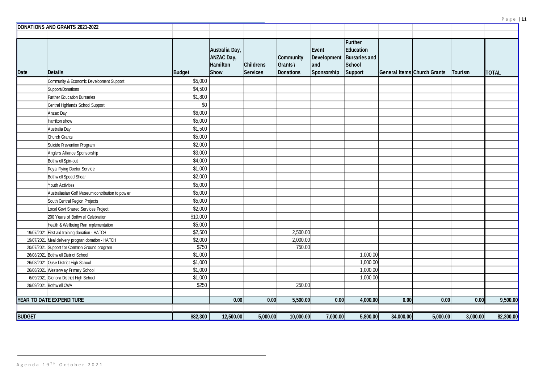| <b>Further</b><br><b>Education</b><br><b>Bursaries and</b><br><b>School</b><br><b>Support</b> |           | General Items Church Grants | Tourism  | <b>TOTAL</b> |
|-----------------------------------------------------------------------------------------------|-----------|-----------------------------|----------|--------------|
|                                                                                               |           |                             |          |              |
|                                                                                               |           |                             |          |              |
|                                                                                               |           |                             |          |              |
|                                                                                               |           |                             |          |              |
|                                                                                               |           |                             |          |              |
|                                                                                               |           |                             |          |              |
|                                                                                               |           |                             |          |              |
|                                                                                               |           |                             |          |              |
|                                                                                               |           |                             |          |              |
|                                                                                               |           |                             |          |              |
|                                                                                               |           |                             |          |              |
|                                                                                               |           |                             |          |              |
|                                                                                               |           |                             |          |              |
|                                                                                               |           |                             |          |              |
|                                                                                               |           |                             |          |              |
|                                                                                               |           |                             |          |              |
|                                                                                               |           |                             |          |              |
|                                                                                               |           |                             |          |              |
|                                                                                               |           |                             |          |              |
|                                                                                               |           |                             |          |              |
|                                                                                               |           |                             |          |              |
| 1,000.00                                                                                      |           |                             |          |              |
| 1,000.00                                                                                      |           |                             |          |              |
| 1,000.00                                                                                      |           |                             |          |              |
| 1,000.00                                                                                      |           |                             |          |              |
|                                                                                               |           |                             |          |              |
| 4,000.00                                                                                      | 0.00      | 0.00                        | 0.00     | 9,500.00     |
|                                                                                               |           |                             |          |              |
| 5,800.00                                                                                      | 34,000.00 | 5,000.00                    | 3,000.00 | 82,300.00    |

|               | DONATIONS AND GRANTS 2021-2022                    |          |                                                         |                                     |                                                     |                             |                                                                          |           |                                    |          |              |
|---------------|---------------------------------------------------|----------|---------------------------------------------------------|-------------------------------------|-----------------------------------------------------|-----------------------------|--------------------------------------------------------------------------|-----------|------------------------------------|----------|--------------|
|               |                                                   |          |                                                         |                                     |                                                     |                             |                                                                          |           |                                    |          |              |
| Date          | Details                                           | Budget   | Australia Day,<br><b>ANZAC Day,</b><br>Hamilton<br>Show | <b>Childrens</b><br><b>Services</b> | <b>Community</b><br>$Grants \setminus$<br>Donations | Event<br>and<br>Sponsorship | Further<br>Education<br>Development   Bursaries and<br>School<br>Support |           | <b>General Items Church Grants</b> | Tourism  | <b>TOTAL</b> |
|               | Community & Economic Development Support          | \$5,000  |                                                         |                                     |                                                     |                             |                                                                          |           |                                    |          |              |
|               | Support/Donations                                 | \$4,500  |                                                         |                                     |                                                     |                             |                                                                          |           |                                    |          |              |
|               | <b>Further Education Bursaries</b>                | \$1,800  |                                                         |                                     |                                                     |                             |                                                                          |           |                                    |          |              |
|               | Central Highlands School Support                  | \$0      |                                                         |                                     |                                                     |                             |                                                                          |           |                                    |          |              |
|               | Anzac Day                                         | \$6,000  |                                                         |                                     |                                                     |                             |                                                                          |           |                                    |          |              |
|               | Hamilton show                                     | \$5,000  |                                                         |                                     |                                                     |                             |                                                                          |           |                                    |          |              |
|               | Australia Day                                     | \$1,500  |                                                         |                                     |                                                     |                             |                                                                          |           |                                    |          |              |
|               | <b>Church Grants</b>                              | \$5,000  |                                                         |                                     |                                                     |                             |                                                                          |           |                                    |          |              |
|               | Suicide Prevention Program                        | \$2,000  |                                                         |                                     |                                                     |                             |                                                                          |           |                                    |          |              |
|               | Anglers Alliance Sponsorship                      | \$3,000  |                                                         |                                     |                                                     |                             |                                                                          |           |                                    |          |              |
|               | Bothw ell Spin-out                                | \$4,000  |                                                         |                                     |                                                     |                             |                                                                          |           |                                    |          |              |
|               | Royal Flying Doctor Service                       | \$1,000  |                                                         |                                     |                                                     |                             |                                                                          |           |                                    |          |              |
|               | Bothw ell Speed Shear                             | \$2,000  |                                                         |                                     |                                                     |                             |                                                                          |           |                                    |          |              |
|               | Youth Activities                                  | \$5,000  |                                                         |                                     |                                                     |                             |                                                                          |           |                                    |          |              |
|               | Australiasian Golf Museum contribution to pow er  | \$5,000  |                                                         |                                     |                                                     |                             |                                                                          |           |                                    |          |              |
|               | South Central Region Projects                     | \$5,000  |                                                         |                                     |                                                     |                             |                                                                          |           |                                    |          |              |
|               | Local Govt Shared Services Project                | \$2,000  |                                                         |                                     |                                                     |                             |                                                                          |           |                                    |          |              |
|               | 200 Years of Bothw ell Celebration                | \$10,000 |                                                         |                                     |                                                     |                             |                                                                          |           |                                    |          |              |
|               | Health & Wellbeing Plan Implementation            | \$5,000  |                                                         |                                     |                                                     |                             |                                                                          |           |                                    |          |              |
|               | 19/07/2021 First aid training donation - HATCH    | \$2,500  |                                                         |                                     | 2,500.00                                            |                             |                                                                          |           |                                    |          |              |
|               | 19/07/2021 Meal delivery progran donation - HATCH | \$2,000  |                                                         |                                     | 2,000.00                                            |                             |                                                                          |           |                                    |          |              |
|               | 20/07/2021 Support for Common Ground program      | \$750    |                                                         |                                     | 750.00                                              |                             |                                                                          |           |                                    |          |              |
|               | 26/08/2021 Bothw ell District School              | \$1,000  |                                                         |                                     |                                                     |                             | 1,000.00                                                                 |           |                                    |          |              |
|               | 26/08/2021 Ouse District High School              | \$1,000  |                                                         |                                     |                                                     |                             | 1,000.00                                                                 |           |                                    |          |              |
|               | 26/08/2021 Westerw ay Primary School              | \$1,000  |                                                         |                                     |                                                     |                             | 1,000.00                                                                 |           |                                    |          |              |
|               | 6/09/2021 Glenora District High School            | \$1,000  |                                                         |                                     |                                                     |                             | 1,000.00                                                                 |           |                                    |          |              |
|               | 29/09/2021 Bothw ell CWA                          | \$250    |                                                         |                                     | 250.00                                              |                             |                                                                          |           |                                    |          |              |
|               | <b>YEAR TO DATE EXPENDITURE</b>                   |          | 0.00                                                    | 0.00                                | 5,500.00                                            | 0.00                        | 4,000.00                                                                 | 0.00      | 0.00                               | 0.00     | 9,500.00     |
| <b>BUDGET</b> |                                                   | \$82,300 | 12,500.00                                               | 5,000.00                            | 10,000.00                                           | 7,000.00                    | 5,800.00                                                                 | 34,000.00 | 5,000.00                           | 3,000.00 | 82,300.00    |
|               |                                                   |          |                                                         |                                     |                                                     |                             |                                                                          |           |                                    |          |              |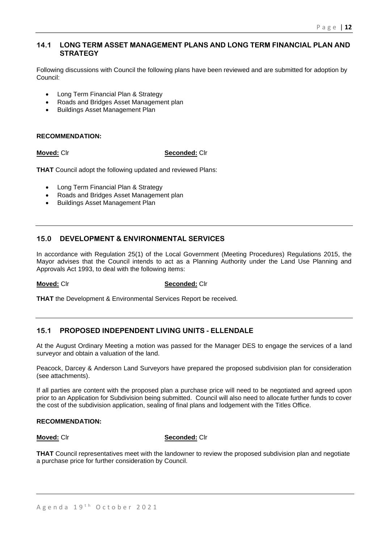# **14.1 LONG TERM ASSET MANAGEMENT PLANS AND LONG TERM FINANCIAL PLAN AND STRATEGY**

Following discussions with Council the following plans have been reviewed and are submitted for adoption by Council:

- Long Term Financial Plan & Strategy
- Roads and Bridges Asset Management plan
- Buildings Asset Management Plan

#### **RECOMMENDATION:**

#### **Moved:** Clr **Seconded:** Clr

**THAT** Council adopt the following updated and reviewed Plans:

- Long Term Financial Plan & Strategy
- Roads and Bridges Asset Management plan
- Buildings Asset Management Plan

# **15.0 DEVELOPMENT & ENVIRONMENTAL SERVICES**

In accordance with Regulation 25(1) of the Local Government (Meeting Procedures) Regulations 2015, the Mayor advises that the Council intends to act as a Planning Authority under the Land Use Planning and Approvals Act 1993, to deal with the following items:

#### **Moved:** Clr **Seconded:** Clr

**THAT** the Development & Environmental Services Report be received.

# **15.1 PROPOSED INDEPENDENT LIVING UNITS - ELLENDALE**

At the August Ordinary Meeting a motion was passed for the Manager DES to engage the services of a land surveyor and obtain a valuation of the land.

Peacock, Darcey & Anderson Land Surveyors have prepared the proposed subdivision plan for consideration (see attachments).

If all parties are content with the proposed plan a purchase price will need to be negotiated and agreed upon prior to an Application for Subdivision being submitted. Council will also need to allocate further funds to cover the cost of the subdivision application, sealing of final plans and lodgement with the Titles Office.

#### **RECOMMENDATION:**

**Moved:** Clr **Seconded:** Clr

**THAT** Council representatives meet with the landowner to review the proposed subdivision plan and negotiate a purchase price for further consideration by Council.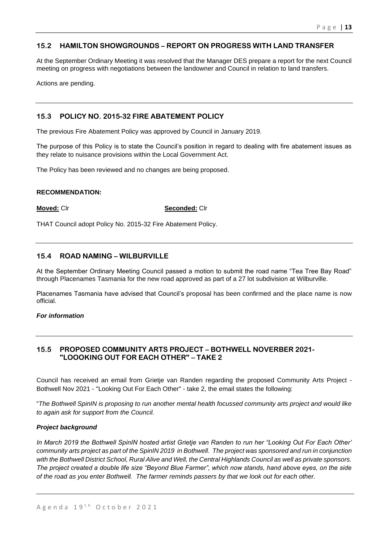# **15.2 HAMILTON SHOWGROUNDS – REPORT ON PROGRESS WITH LAND TRANSFER**

At the September Ordinary Meeting it was resolved that the Manager DES prepare a report for the next Council meeting on progress with negotiations between the landowner and Council in relation to land transfers.

Actions are pending.

# **15.3 POLICY NO. 2015-32 FIRE ABATEMENT POLICY**

The previous Fire Abatement Policy was approved by Council in January 2019.

The purpose of this Policy is to state the Council's position in regard to dealing with fire abatement issues as they relate to nuisance provisions within the Local Government Act.

The Policy has been reviewed and no changes are being proposed.

#### **RECOMMENDATION:**

**Moved:** Clr **Seconded:** Clr

THAT Council adopt Policy No. 2015-32 Fire Abatement Policy.

# **15.4 ROAD NAMING – WILBURVILLE**

At the September Ordinary Meeting Council passed a motion to submit the road name "Tea Tree Bay Road" through Placenames Tasmania for the new road approved as part of a 27 lot subdivision at Wilburville.

Placenames Tasmania have advised that Council's proposal has been confirmed and the place name is now official.

#### *For information*

# **15.5 PROPOSED COMMUNITY ARTS PROJECT – BOTHWELL NOVERBER 2021- "LOOOKING OUT FOR EACH OTHER" – TAKE 2**

Council has received an email from Grietje van Randen regarding the proposed Community Arts Project - Bothwell Nov 2021 - "Looking Out For Each Other" - take 2, the email states the following:

"*The Bothwell SpinIN is proposing to run another mental health focussed community arts project and would like to again ask for support from the Council.*

#### *Project background*

*In March 2019 the Bothwell SpinIN hosted artist Grietje van Randen to run her "Looking Out For Each Other' community arts project as part of the SpinIN 2019 in Bothwell. The project was sponsored and run in conjunction with the Bothwell District School, Rural Alive and Well, the Central Highlands Council as well as private sponsors. The project created a double life size "Beyond Blue Farmer", which now stands, hand above eyes, on the side of the road as you enter Bothwell. The farmer reminds passers by that we look out for each other.*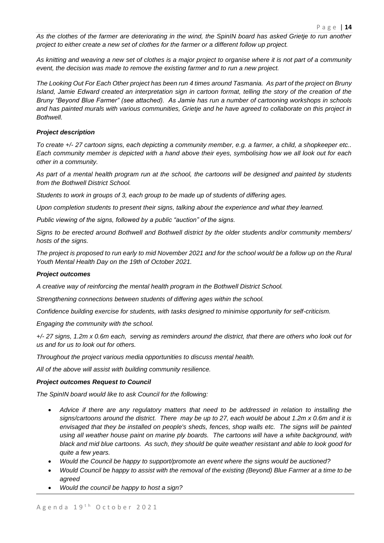*As the clothes of the farmer are deteriorating in the wind, the SpinIN board has asked Grietje to run another project to either create a new set of clothes for the farmer or a different follow up project.*

*As knitting and weaving a new set of clothes is a major project to organise where it is not part of a community event, the decision was made to remove the existing farmer and to run a new project.*

*The Looking Out For Each Other project has been run 4 times around Tasmania. As part of the project on Bruny Island, Jamie Edward created an interpretation sign in cartoon format, telling the story of the creation of the Bruny "Beyond Blue Farmer" (see attached). As Jamie has run a number of cartooning workshops in schools and has painted murals with various communities, Grietje and he have agreed to collaborate on this project in Bothwell.*

#### *Project description*

*To create +/- 27 cartoon signs, each depicting a community member, e.g. a farmer, a child, a shopkeeper etc.. Each community member is depicted with a hand above their eyes, symbolising how we all look out for each other in a community.*

*As part of a mental health program run at the school, the cartoons will be designed and painted by students from the Bothwell District School.*

*Students to work in groups of 3, each group to be made up of students of differing ages.*

*Upon completion students to present their signs, talking about the experience and what they learned.*

*Public viewing of the signs, followed by a public "auction" of the signs.*

*Signs to be erected around Bothwell and Bothwell district by the older students and/or community members/ hosts of the signs.*

*The project is proposed to run early to mid November 2021 and for the school would be a follow up on the Rural Youth Mental Health Day on the 19th of October 2021.*

#### *Project outcomes*

*A creative way of reinforcing the mental health program in the Bothwell District School.*

*Strengthening connections between students of differing ages within the school.*

*Confidence building exercise for students, with tasks designed to minimise opportunity for self-criticism.*

*Engaging the community with the school.*

*+/- 27 signs, 1.2m x 0.6m each, serving as reminders around the district, that there are others who look out for us and for us to look out for others.* 

*Throughout the project various media opportunities to discuss mental health.*

*All of the above will assist with building community resilience.*

#### *Project outcomes Request to Council*

*The SpinIN board would like to ask Council for the following:*

- *Advice if there are any regulatory matters that need to be addressed in relation to installing the signs/cartoons around the district. There may be up to 27, each would be about 1.2m x 0.6m and it is*  envisaged that they be installed on people's sheds, fences, shop walls etc. The signs will be painted *using all weather house paint on marine ply boards. The cartoons will have a white background, with black and mid blue cartoons. As such, they should be quite weather resistant and able to look good for quite a few years.*
- *Would the Council be happy to support/promote an event where the signs would be auctioned?*
- *Would Council be happy to assist with the removal of the existing (Beyond) Blue Farmer at a time to be agreed*
- *Would the council be happy to host a sign?*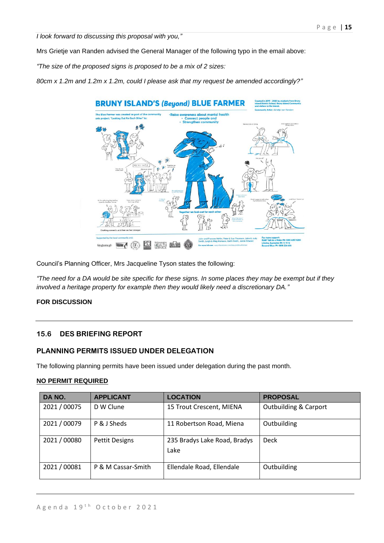*I look forward to discussing this proposal with you,"*

Mrs Grietje van Randen advised the General Manager of the following typo in the email above:

*"The size of the proposed signs is proposed to be a mix of 2 sizes:*

*80cm x 1.2m and 1.2m x 1.2m, could I please ask that my request be amended accordingly?"*



Council's Planning Officer, Mrs Jacqueline Tyson states the following:

*"The need for a DA would be site specific for these signs. In some places they may be exempt but if they involved a heritage property for example then they would likely need a discretionary DA."*

### **FOR DISCUSSION**

# **15.6 DES BRIEFING REPORT**

# **PLANNING PERMITS ISSUED UNDER DELEGATION**

The following planning permits have been issued under delegation during the past month.

#### **NO PERMIT REQUIRED**

| DA NO.       | <b>APPLICANT</b>      | <b>LOCATION</b>                      | <b>PROPOSAL</b>                  |
|--------------|-----------------------|--------------------------------------|----------------------------------|
| 2021 / 00075 | D W Clune             | 15 Trout Crescent, MIENA             | <b>Outbuilding &amp; Carport</b> |
| 2021 / 00079 | P & J Sheds           | 11 Robertson Road, Miena             | Outbuilding                      |
| 2021 / 00080 | <b>Pettit Designs</b> | 235 Bradys Lake Road, Bradys<br>Lake | <b>Deck</b>                      |
| 2021 / 00081 | P & M Cassar-Smith    | Ellendale Road, Ellendale            | Outbuilding                      |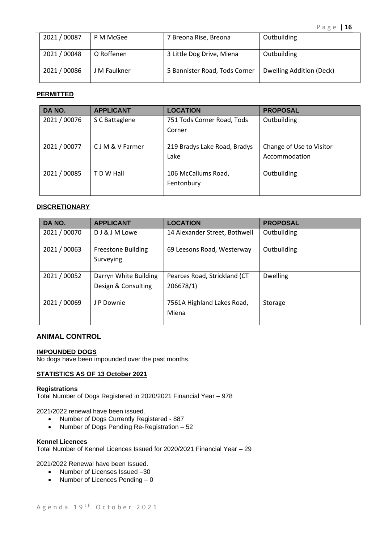| 2021/00087 | P M McGee    | 7 Breona Rise, Breona         | Outbuilding              |
|------------|--------------|-------------------------------|--------------------------|
| 2021/00048 | O Roffenen   | 3 Little Dog Drive, Miena     | Outbuilding              |
| 2021/00086 | J M Faulkner | 5 Bannister Road, Tods Corner | Dwelling Addition (Deck) |

#### **PERMITTED**

| DA NO.       | <b>APPLICANT</b> | <b>LOCATION</b>              | <b>PROPOSAL</b>          |
|--------------|------------------|------------------------------|--------------------------|
| 2021 / 00076 | S C Battaglene   | 751 Tods Corner Road, Tods   | Outbuilding              |
|              |                  | Corner                       |                          |
|              |                  |                              |                          |
| 2021 / 00077 | C J M & V Farmer | 219 Bradys Lake Road, Bradys | Change of Use to Visitor |
|              |                  | Lake                         | Accommodation            |
|              |                  |                              |                          |
| 2021 / 00085 | T D W Hall       | 106 McCallums Road,          | Outbuilding              |
|              |                  | Fentonbury                   |                          |
|              |                  |                              |                          |

#### **DISCRETIONARY**

| DA NO.       | <b>APPLICANT</b>                             | <b>LOCATION</b>                           | <b>PROPOSAL</b> |
|--------------|----------------------------------------------|-------------------------------------------|-----------------|
| 2021 / 00070 | DJ & J M Lowe                                | 14 Alexander Street, Bothwell             | Outbuilding     |
| 2021 / 00063 | <b>Freestone Building</b><br>Surveying       | 69 Leesons Road, Westerway                | Outbuilding     |
| 2021 / 00052 | Darryn White Building<br>Design & Consulting | Pearces Road, Strickland (CT<br>206678/1) | <b>Dwelling</b> |
| 2021 / 00069 | J P Downie                                   | 7561A Highland Lakes Road,<br>Miena       | Storage         |

# **ANIMAL CONTROL**

#### **IMPOUNDED DOGS**

No dogs have been impounded over the past months.

#### **STATISTICS AS OF 13 October 2021**

#### **Registrations**

Total Number of Dogs Registered in 2020/2021 Financial Year – 978

2021/2022 renewal have been issued.

- Number of Dogs Currently Registered 887
- Number of Dogs Pending Re-Registration 52

#### **Kennel Licences**

Total Number of Kennel Licences Issued for 2020/2021 Financial Year – 29

2021/2022 Renewal have been Issued.

- Number of Licenses Issued –30
- Number of Licences Pending 0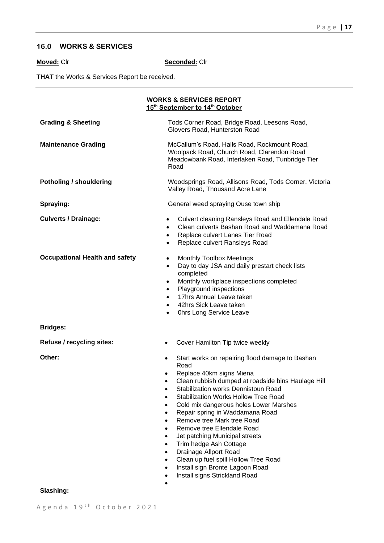# **16.0 WORKS & SERVICES**

**Moved:** Clr **Seconded:** Clr

**THAT** the Works & Services Report be received.

|                                       | <b>WORKS &amp; SERVICES REPORT</b><br>15 <sup>th</sup> September to 14 <sup>th</sup> October                                                                                                                                                                                                                                                                                                                                                                                                                                                                                                        |  |  |  |  |
|---------------------------------------|-----------------------------------------------------------------------------------------------------------------------------------------------------------------------------------------------------------------------------------------------------------------------------------------------------------------------------------------------------------------------------------------------------------------------------------------------------------------------------------------------------------------------------------------------------------------------------------------------------|--|--|--|--|
| <b>Grading &amp; Sheeting</b>         | Tods Corner Road, Bridge Road, Leesons Road,<br>Glovers Road, Hunterston Road                                                                                                                                                                                                                                                                                                                                                                                                                                                                                                                       |  |  |  |  |
| <b>Maintenance Grading</b>            | McCallum's Road, Halls Road, Rockmount Road,<br>Woolpack Road, Church Road, Clarendon Road<br>Meadowbank Road, Interlaken Road, Tunbridge Tier<br>Road                                                                                                                                                                                                                                                                                                                                                                                                                                              |  |  |  |  |
| <b>Potholing / shouldering</b>        | Woodsprings Road, Allisons Road, Tods Corner, Victoria<br>Valley Road, Thousand Acre Lane                                                                                                                                                                                                                                                                                                                                                                                                                                                                                                           |  |  |  |  |
| Spraying:                             | General weed spraying Ouse town ship                                                                                                                                                                                                                                                                                                                                                                                                                                                                                                                                                                |  |  |  |  |
| <b>Culverts / Drainage:</b>           | Culvert cleaning Ransleys Road and Ellendale Road<br>$\bullet$<br>Clean culverts Bashan Road and Waddamana Road<br>$\bullet$<br>Replace culvert Lanes Tier Road<br>$\bullet$<br>Replace culvert Ransleys Road<br>$\bullet$                                                                                                                                                                                                                                                                                                                                                                          |  |  |  |  |
| <b>Occupational Health and safety</b> | <b>Monthly Toolbox Meetings</b><br>$\bullet$<br>Day to day JSA and daily prestart check lists<br>$\bullet$<br>completed<br>Monthly workplace inspections completed<br>$\bullet$<br>Playground inspections<br>$\bullet$<br>17hrs Annual Leave taken<br>$\bullet$<br>42hrs Sick Leave taken<br>$\bullet$<br>Ohrs Long Service Leave<br>$\bullet$                                                                                                                                                                                                                                                      |  |  |  |  |
| <b>Bridges:</b>                       |                                                                                                                                                                                                                                                                                                                                                                                                                                                                                                                                                                                                     |  |  |  |  |
| Refuse / recycling sites:             | Cover Hamilton Tip twice weekly<br>$\bullet$                                                                                                                                                                                                                                                                                                                                                                                                                                                                                                                                                        |  |  |  |  |
| Other:                                | Start works on repairing flood damage to Bashan<br>$\bullet$<br>Road<br>Replace 40km signs Miena<br>Clean rubbish dumped at roadside bins Haulage Hill<br>Stabilization works Dennistoun Road<br>$\bullet$<br><b>Stabilization Works Hollow Tree Road</b><br>Cold mix dangerous holes Lower Marshes<br>Repair spring in Waddamana Road<br>Remove tree Mark tree Road<br>Remove tree Ellendale Road<br>Jet patching Municipal streets<br>Trim hedge Ash Cottage<br>Drainage Allport Road<br>Clean up fuel spill Hollow Tree Road<br>Install sign Bronte Lagoon Road<br>Install signs Strickland Road |  |  |  |  |

**Slashing:**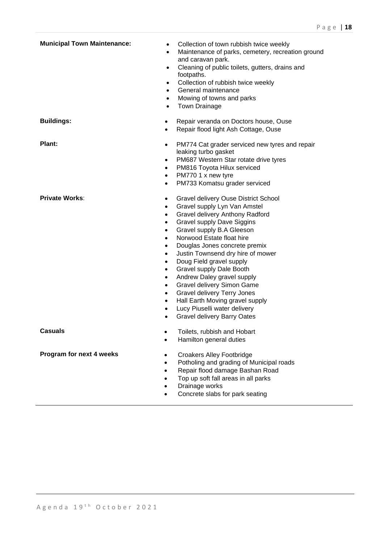| <b>Municipal Town Maintenance:</b> | Collection of town rubbish twice weekly<br>$\bullet$<br>Maintenance of parks, cemetery, recreation ground<br>$\bullet$<br>and caravan park.<br>Cleaning of public toilets, gutters, drains and<br>$\bullet$<br>footpaths.<br>Collection of rubbish twice weekly<br>$\bullet$<br>General maintenance<br>$\bullet$<br>Mowing of towns and parks<br>$\bullet$<br>Town Drainage<br>$\bullet$                                                                                                                                                                                                                                                                                                                                                                               |
|------------------------------------|------------------------------------------------------------------------------------------------------------------------------------------------------------------------------------------------------------------------------------------------------------------------------------------------------------------------------------------------------------------------------------------------------------------------------------------------------------------------------------------------------------------------------------------------------------------------------------------------------------------------------------------------------------------------------------------------------------------------------------------------------------------------|
| <b>Buildings:</b>                  | Repair veranda on Doctors house, Ouse<br>٠<br>Repair flood light Ash Cottage, Ouse<br>$\bullet$                                                                                                                                                                                                                                                                                                                                                                                                                                                                                                                                                                                                                                                                        |
| Plant:                             | PM774 Cat grader serviced new tyres and repair<br>$\bullet$<br>leaking turbo gasket<br>PM687 Western Star rotate drive tyres<br>$\bullet$<br>PM816 Toyota Hilux serviced<br>$\bullet$<br>PM770 1 x new tyre<br>$\bullet$<br>PM733 Komatsu grader serviced<br>$\bullet$                                                                                                                                                                                                                                                                                                                                                                                                                                                                                                 |
| <b>Private Works:</b>              | <b>Gravel delivery Ouse District School</b><br>$\bullet$<br>Gravel supply Lyn Van Amstel<br>$\bullet$<br>Gravel delivery Anthony Radford<br>$\bullet$<br><b>Gravel supply Dave Siggins</b><br>$\bullet$<br>Gravel supply B.A Gleeson<br>$\bullet$<br>Norwood Estate float hire<br>$\bullet$<br>Douglas Jones concrete premix<br>$\bullet$<br>Justin Townsend dry hire of mower<br>$\bullet$<br>Doug Field gravel supply<br>$\bullet$<br>Gravel supply Dale Booth<br>$\bullet$<br>Andrew Daley gravel supply<br>$\bullet$<br>Gravel delivery Simon Game<br>$\bullet$<br><b>Gravel delivery Terry Jones</b><br>$\bullet$<br>Hall Earth Moving gravel supply<br>$\bullet$<br>Lucy Piuselli water delivery<br>$\bullet$<br><b>Gravel delivery Barry Oates</b><br>$\bullet$ |
| <b>Casuals</b>                     | Toilets, rubbish and Hobart<br>$\bullet$<br>Hamilton general duties<br>$\bullet$                                                                                                                                                                                                                                                                                                                                                                                                                                                                                                                                                                                                                                                                                       |
| Program for next 4 weeks           | <b>Croakers Alley Footbridge</b><br>$\bullet$<br>Potholing and grading of Municipal roads<br>$\bullet$<br>Repair flood damage Bashan Road<br>$\bullet$<br>Top up soft fall areas in all parks<br>$\bullet$<br>Drainage works<br>Concrete slabs for park seating<br>$\bullet$                                                                                                                                                                                                                                                                                                                                                                                                                                                                                           |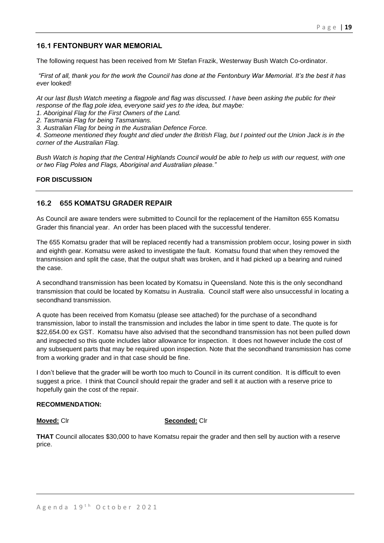# **16.1 FENTONBURY WAR MEMORIAL**

The following request has been received from Mr Stefan Frazik, Westerway Bush Watch Co-ordinator.

*"First of all, thank you for the work the Council has done at the Fentonbury War Memorial. It's the best it has ever* looked!

*At our last Bush Watch meeting a flagpole and flag was discussed. I have been asking the public for their response of the flag pole idea, everyone said yes to the idea, but maybe:* 

*1. Aboriginal Flag for the First Owners of the Land.* 

*2. Tasmania Flag for being Tasmanians.* 

*3. Australian Flag for being in the Australian Defence Force.* 

*4. Someone mentioned they fought and died under the British Flag, but I pointed out the Union Jack is in the corner of the Australian Flag.* 

*Bush Watch is hoping that the Central Highlands Council would be able to help us with our request, with one or two Flag Poles and Flags, Aboriginal and Australian please."* 

#### **FOR DISCUSSION**

# **16.2 655 KOMATSU GRADER REPAIR**

As Council are aware tenders were submitted to Council for the replacement of the Hamilton 655 Komatsu Grader this financial year. An order has been placed with the successful tenderer.

The 655 Komatsu grader that will be replaced recently had a transmission problem occur, losing power in sixth and eighth gear. Komatsu were asked to investigate the fault. Komatsu found that when they removed the transmission and split the case, that the output shaft was broken, and it had picked up a bearing and ruined the case.

A secondhand transmission has been located by Komatsu in Queensland. Note this is the only secondhand transmission that could be located by Komatsu in Australia. Council staff were also unsuccessful in locating a secondhand transmission.

A quote has been received from Komatsu (please see attached) for the purchase of a secondhand transmission, labor to install the transmission and includes the labor in time spent to date. The quote is for \$22,654.00 ex GST. Komatsu have also advised that the secondhand transmission has not been pulled down and inspected so this quote includes labor allowance for inspection. It does not however include the cost of any subsequent parts that may be required upon inspection. Note that the secondhand transmission has come from a working grader and in that case should be fine.

I don't believe that the grader will be worth too much to Council in its current condition. It is difficult to even suggest a price. I think that Council should repair the grader and sell it at auction with a reserve price to hopefully gain the cost of the repair.

#### **RECOMMENDATION:**

#### **Moved:** Clr **Seconded:** Clr

**THAT** Council allocates \$30,000 to have Komatsu repair the grader and then sell by auction with a reserve price.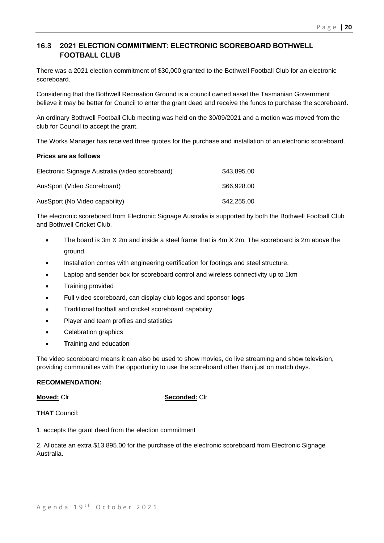# **16.3 2021 ELECTION COMMITMENT: ELECTRONIC SCOREBOARD BOTHWELL FOOTBALL CLUB**

There was a 2021 election commitment of \$30,000 granted to the Bothwell Football Club for an electronic scoreboard.

Considering that the Bothwell Recreation Ground is a council owned asset the Tasmanian Government believe it may be better for Council to enter the grant deed and receive the funds to purchase the scoreboard.

An ordinary Bothwell Football Club meeting was held on the 30/09/2021 and a motion was moved from the club for Council to accept the grant.

The Works Manager has received three quotes for the purchase and installation of an electronic scoreboard.

#### **Prices are as follows**

| Electronic Signage Australia (video scoreboard) | \$43,895,00 |
|-------------------------------------------------|-------------|
| AusSport (Video Scoreboard)                     | \$66,928,00 |
| AusSport (No Video capability)                  | \$42,255.00 |

The electronic scoreboard from Electronic Signage Australia is supported by both the Bothwell Football Club and Bothwell Cricket Club.

- The board is 3m X 2m and inside a steel frame that is 4m X 2m. The scoreboard is 2m above the ground.
- Installation comes with engineering certification for footings and steel structure.
- Laptop and sender box for scoreboard control and wireless connectivity up to 1km
- Training provided
- Full video scoreboard, can display club logos and sponsor **logs**
- Traditional football and cricket scoreboard capability
- Player and team profiles and statistics
- Celebration graphics
- **T**raining and education

The video scoreboard means it can also be used to show movies, do live streaming and show television, providing communities with the opportunity to use the scoreboard other than just on match days.

#### **RECOMMENDATION:**

#### **Moved:** Clr **Seconded:** Clr

**THAT** Council:

1. accepts the grant deed from the election commitment

2. Allocate an extra \$13,895.00 for the purchase of the electronic scoreboard from Electronic Signage Australia**.**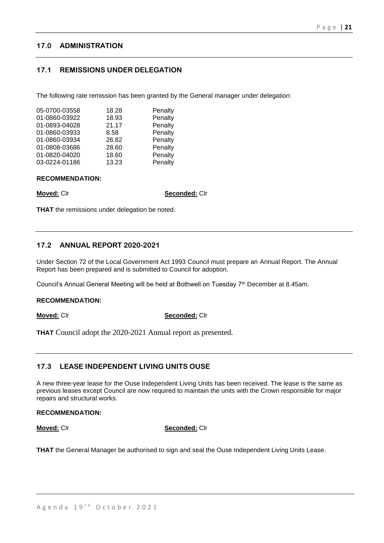# **17.0 ADMINISTRATION**

# **17.1 REMISSIONS UNDER DELEGATION**

The following rate remission has been granted by the General manager under delegation:

| 18.28 | Penalty |
|-------|---------|
| 18.93 | Penalty |
| 21.17 | Penalty |
| 8.58  | Penalty |
| 26.82 | Penalty |
| 28.60 | Penalty |
| 18.60 | Penalty |
| 13.23 | Penalty |
|       |         |

#### **RECOMMENDATION:**

**Moved:** Clr **Seconded:** Clr

**THAT** the remissions under delegation be noted.

# **17.2 ANNUAL REPORT 2020-2021**

Under Section 72 of the Local Government Act 1993 Council must prepare an Annual Report. The Annual Report has been prepared and is submitted to Council for adoption.

Council's Annual General Meeting will be held at Bothwell on Tuesday 7<sup>th</sup> December at 8.45am.

#### **RECOMMENDATION:**

**Moved:** Clr **Seconded:** Clr

**THAT** Council adopt the 2020-2021 Annual report as presented.

# **17.3 LEASE INDEPENDENT LIVING UNITS OUSE**

A new three-year lease for the Ouse Independent Living Units has been received. The lease is the same as previous leases except Council are now required to maintain the units with the Crown responsible for major repairs and structural works.

#### **RECOMMENDATION:**

**Moved:** Clr **Seconded:** Clr

**THAT** the General Manager be authorised to sign and seal the Ouse Independent Living Units Lease.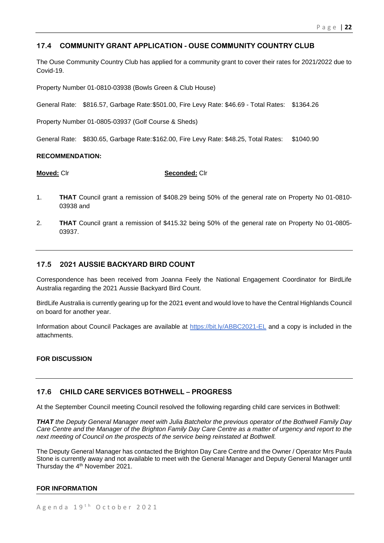# **17.4 COMMUNITY GRANT APPLICATION - OUSE COMMUNITY COUNTRY CLUB**

The Ouse Community Country Club has applied for a community grant to cover their rates for 2021/2022 due to Covid-19.

Property Number 01-0810-03938 (Bowls Green & Club House)

General Rate: \$816.57, Garbage Rate:\$501.00, Fire Levy Rate: \$46.69 - Total Rates: \$1364.26

Property Number 01-0805-03937 (Golf Course & Sheds)

General Rate: \$830.65, Garbage Rate:\$162.00, Fire Levy Rate: \$48.25, Total Rates: \$1040.90

#### **RECOMMENDATION:**

**Moved:** Clr **Seconded:** Clr

- 1. **THAT** Council grant a remission of \$408.29 being 50% of the general rate on Property No 01-0810- 03938 and
- 2. **THAT** Council grant a remission of \$415.32 being 50% of the general rate on Property No 01-0805- 03937.

# **17.5 2021 AUSSIE BACKYARD BIRD COUNT**

Correspondence has been received from Joanna Feely the National Engagement Coordinator for BirdLife Australia regarding the 2021 Aussie Backyard Bird Count.

BirdLife Australia is currently gearing up for the 2021 event and would love to have the Central Highlands Council on board for another year.

Information about Council Packages are available at<https://bit.ly/ABBC2021-EL> and a copy is included in the attachments.

#### **FOR DISCUSSION**

# **17.6 CHILD CARE SERVICES BOTHWELL – PROGRESS**

At the September Council meeting Council resolved the following regarding child care services in Bothwell:

*THAT the Deputy General Manager meet with Julia Batchelor the previous operator of the Bothwell Family Day Care Centre and the Manager of the Brighton Family Day Care Centre as a matter of urgency and report to the next meeting of Council on the prospects of the service being reinstated at Bothwell.*

The Deputy General Manager has contacted the Brighton Day Care Centre and the Owner / Operator Mrs Paula Stone is currently away and not available to meet with the General Manager and Deputy General Manager until Thursday the 4<sup>th</sup> November 2021.

#### **FOR INFORMATION**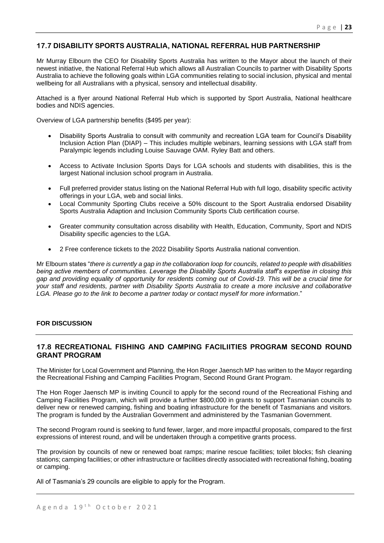# **17.7 DISABILITY SPORTS AUSTRALIA, NATIONAL REFERRAL HUB PARTNERSHIP**

Mr Murray Elbourn the CEO for Disability Sports Australia has written to the Mayor about the launch of their newest initiative, the National Referral Hub which allows all Australian Councils to partner with Disability Sports Australia to achieve the following goals within LGA communities relating to social inclusion, physical and mental wellbeing for all Australians with a physical, sensory and intellectual disability.

Attached is a flyer around National Referral Hub which is supported by Sport Australia, National healthcare bodies and NDIS agencies.

Overview of LGA partnership benefits (\$495 per year):

- Disability Sports Australia to consult with community and recreation LGA team for Council's Disability Inclusion Action Plan (DIAP) – This includes multiple webinars, learning sessions with LGA staff from Paralympic legends including Louise Sauvage OAM. Ryley Batt and others.
- Access to Activate Inclusion Sports Days for LGA schools and students with disabilities, this is the largest National inclusion school program in Australia.
- Full preferred provider status listing on the National Referral Hub with full logo, disability specific activity offerings in your LGA, web and social links.
- Local Community Sporting Clubs receive a 50% discount to the Sport Australia endorsed Disability Sports Australia Adaption and Inclusion Community Sports Club certification course.
- Greater community consultation across disability with Health, Education, Community, Sport and NDIS Disability specific agencies to the LGA.
- 2 Free conference tickets to the 2022 Disability Sports Australia national convention.

Mr Elbourn states "*there is currently a gap in the collaboration loop for councils, related to people with disabilities being active members of communities. Leverage the Disability Sports Australia staff's expertise in closing this gap and providing equality of opportunity for residents coming out of Covid-19. This will be a crucial time for your staff and residents, partner with Disability Sports Australia to create a more inclusive and collaborative LGA. Please go to the link to become a partner today or contact myself for more information*."

#### **FOR DISCUSSION**

# **17.8 RECREATIONAL FISHING AND CAMPING FACILIITIES PROGRAM SECOND ROUND GRANT PROGRAM**

The Minister for Local Government and Planning, the Hon Roger Jaensch MP has written to the Mayor regarding the Recreational Fishing and Camping Facilities Program, Second Round Grant Program.

The Hon Roger Jaensch MP is inviting Council to apply for the second round of the Recreational Fishing and Camping Facilities Program, which will provide a further \$800,000 in grants to support Tasmanian councils to deliver new or renewed camping, fishing and boating infrastructure for the benefit of Tasmanians and visitors. The program is funded by the Australian Government and administered by the Tasmanian Government.

The second Program round is seeking to fund fewer, larger, and more impactful proposals, compared to the first expressions of interest round, and will be undertaken through a competitive grants process.

The provision by councils of new or renewed boat ramps; marine rescue facilities; toilet blocks; fish cleaning stations; camping facilities; or other infrastructure or facilities directly associated with recreational fishing, boating or camping.

All of Tasmania's 29 councils are eligible to apply for the Program.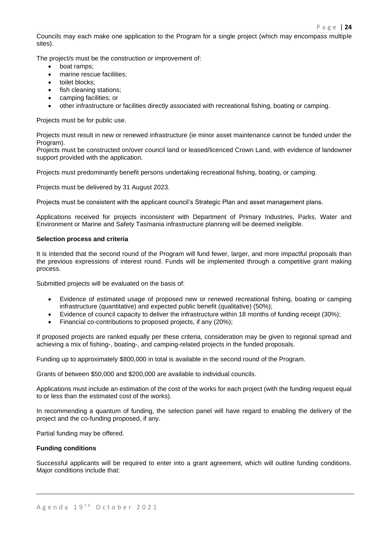Councils may each make one application to the Program for a single project (which may encompass multiple sites).

The project/s must be the construction or improvement of:

- boat ramps;
- marine rescue facilities;
- toilet blocks:
- fish cleaning stations;
- camping facilities; or
- other infrastructure or facilities directly associated with recreational fishing, boating or camping.

Projects must be for public use.

Projects must result in new or renewed infrastructure (ie minor asset maintenance cannot be funded under the Program).

Projects must be constructed on/over council land or leased/licenced Crown Land, with evidence of landowner support provided with the application.

Projects must predominantly benefit persons undertaking recreational fishing, boating, or camping.

Projects must be delivered by 31 August 2023.

Projects must be consistent with the applicant council's Strategic Plan and asset management plans.

Applications received for projects inconsistent with Department of Primary Industries, Parks, Water and Environment or Marine and Safety Tasmania infrastructure planning will be deemed ineligible.

#### **Selection process and criteria**

It is intended that the second round of the Program will fund fewer, larger, and more impactful proposals than the previous expressions of interest round. Funds will be implemented through a competitive grant making process.

Submitted projects will be evaluated on the basis of:

- Evidence of estimated usage of proposed new or renewed recreational fishing, boating or camping infrastructure (quantitative) and expected public benefit (qualitative) (50%);
- Evidence of council capacity to deliver the infrastructure within 18 months of funding receipt (30%);
- Financial co-contributions to proposed projects, if any (20%);

If proposed projects are ranked equally per these criteria, consideration may be given to regional spread and achieving a mix of fishing-, boating-, and camping-related projects in the funded proposals.

Funding up to approximately \$800,000 in total is available in the second round of the Program.

Grants of between \$50,000 and \$200,000 are available to individual councils.

Applications must include an estimation of the cost of the works for each project (with the funding request equal to or less than the estimated cost of the works).

In recommending a quantum of funding, the selection panel will have regard to enabling the delivery of the project and the co-funding proposed, if any.

Partial funding may be offered.

#### **Funding conditions**

Successful applicants will be required to enter into a grant agreement, which will outline funding conditions. Major conditions include that: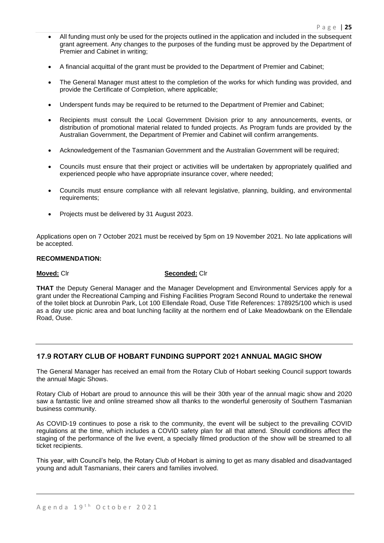- All funding must only be used for the projects outlined in the application and included in the subsequent grant agreement. Any changes to the purposes of the funding must be approved by the Department of Premier and Cabinet in writing;
- A financial acquittal of the grant must be provided to the Department of Premier and Cabinet;
- The General Manager must attest to the completion of the works for which funding was provided, and provide the Certificate of Completion, where applicable;
- Underspent funds may be required to be returned to the Department of Premier and Cabinet;
- Recipients must consult the Local Government Division prior to any announcements, events, or distribution of promotional material related to funded projects. As Program funds are provided by the Australian Government, the Department of Premier and Cabinet will confirm arrangements.
- Acknowledgement of the Tasmanian Government and the Australian Government will be required;
- Councils must ensure that their project or activities will be undertaken by appropriately qualified and experienced people who have appropriate insurance cover, where needed;
- Councils must ensure compliance with all relevant legislative, planning, building, and environmental requirements;
- Projects must be delivered by 31 August 2023.

Applications open on 7 October 2021 must be received by 5pm on 19 November 2021. No late applications will be accepted.

#### **RECOMMENDATION:**

#### **Moved:** Clr **Seconded:** Clr

**THAT** the Deputy General Manager and the Manager Development and Environmental Services apply for a grant under the Recreational Camping and Fishing Facilities Program Second Round to undertake the renewal of the toilet block at Dunrobin Park, Lot 100 Ellendale Road, Ouse Title References: 178925/100 which is used as a day use picnic area and boat lunching facility at the northern end of Lake Meadowbank on the Ellendale Road, Ouse.

# **17.9 ROTARY CLUB OF HOBART FUNDING SUPPORT 2021 ANNUAL MAGIC SHOW**

The General Manager has received an email from the Rotary Club of Hobart seeking Council support towards the annual Magic Shows.

Rotary Club of Hobart are proud to announce this will be their 30th year of the annual magic show and 2020 saw a fantastic live and online streamed show all thanks to the wonderful generosity of Southern Tasmanian business community.

As COVID-19 continues to pose a risk to the community, the event will be subject to the prevailing COVID regulations at the time, which includes a COVID safety plan for all that attend. Should conditions affect the staging of the performance of the live event, a specially filmed production of the show will be streamed to all ticket recipients.

This year, with Council's help, the Rotary Club of Hobart is aiming to get as many disabled and disadvantaged young and adult Tasmanians, their carers and families involved.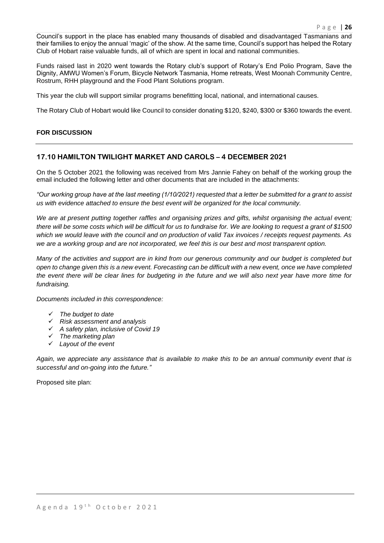Council's support in the place has enabled many thousands of disabled and disadvantaged Tasmanians and their families to enjoy the annual 'magic' of the show. At the same time, Council's support has helped the Rotary Club of Hobart raise valuable funds, all of which are spent in local and national communities.

Funds raised last in 2020 went towards the Rotary club's support of Rotary's End Polio Program, Save the Dignity, AMWU Women's Forum, Bicycle Network Tasmania, Home retreats, West Moonah Community Centre, Rostrum, RHH playground and the Food Plant Solutions program.

This year the club will support similar programs benefitting local, national, and international causes.

The Rotary Club of Hobart would like Council to consider donating \$120, \$240, \$300 or \$360 towards the event.

#### **FOR DISCUSSION**

#### **17.10 HAMILTON TWILIGHT MARKET AND CAROLS – 4 DECEMBER 2021**

On the 5 October 2021 the following was received from Mrs Jannie Fahey on behalf of the working group the email included the following letter and other documents that are included in the attachments:

*"Our working group have at the last meeting (1/10/2021) requested that a letter be submitted for a grant to assist us with evidence attached to ensure the best event will be organized for the local community.*

We are at present putting together raffles and organising prizes and gifts, whilst organising the actual event; *there will be some costs which will be difficult for us to fundraise for. We are looking to request a grant of \$1500 which we would leave with the council and on production of valid Tax invoices / receipts request payments. As we are a working group and are not incorporated, we feel this is our best and most transparent option.*

*Many of the activities and support are in kind from our generous community and our budget is completed but open to change given this is a new event. Forecasting can be difficult with a new event, once we have completed the event there will be clear lines for budgeting in the future and we will also next year have more time for fundraising.*

*Documents included in this correspondence:*

- ✓ *The budget to date*
- ✓ *Risk assessment and analysis*
- ✓ *A safety plan, inclusive of Covid 19*
- ✓ *The marketing plan*
- ✓ *Layout of the event*

*Again, we appreciate any assistance that is available to make this to be an annual community event that is successful and on-going into the future."*

Proposed site plan: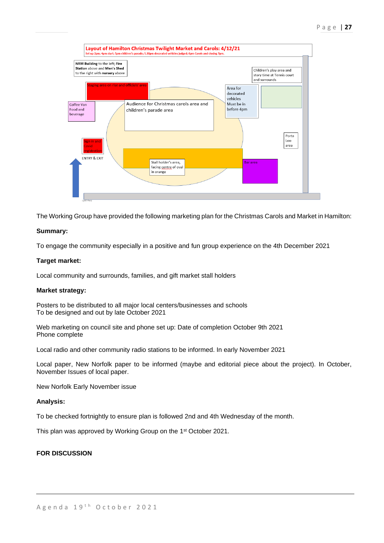

The Working Group have provided the following marketing plan for the Christmas Carols and Market in Hamilton:

#### **Summary:**

To engage the community especially in a positive and fun group experience on the 4th December 2021

#### **Target market:**

Local community and surrounds, families, and gift market stall holders

#### **Market strategy:**

Posters to be distributed to all major local centers/businesses and schools To be designed and out by late October 2021

Web marketing on council site and phone set up: Date of completion October 9th 2021 Phone complete

Local radio and other community radio stations to be informed. In early November 2021

Local paper, New Norfolk paper to be informed (maybe and editorial piece about the project). In October, November Issues of local paper.

New Norfolk Early November issue

#### **Analysis:**

To be checked fortnightly to ensure plan is followed 2nd and 4th Wednesday of the month.

This plan was approved by Working Group on the 1st October 2021.

#### **FOR DISCUSSION**